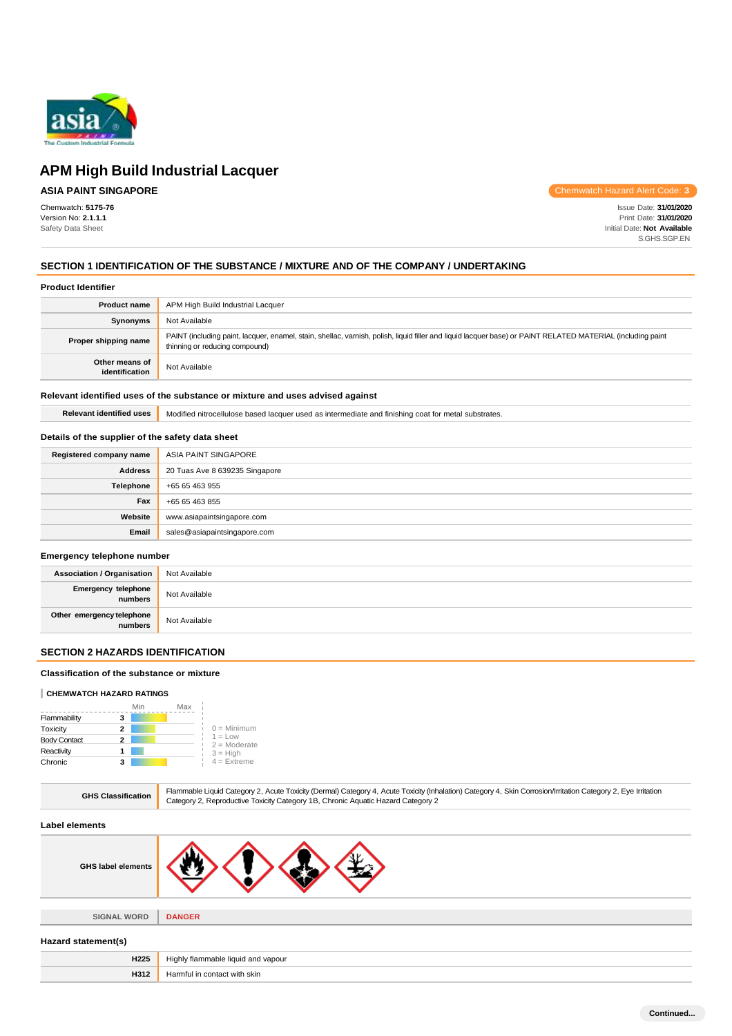

# **ASIA PAINT SINGAPORE**

Chemwatch: **5175-76** Version No: **2.1.1.1** Safety Data Sheet

Chemwatch Hazard Alert Code: **3**

Issue Date: **31/01/2020** Print Date: **31/01/2020** Initial Date: **Not Available** S.GHS.SGP.EN

### **SECTION 1 IDENTIFICATION OF THE SUBSTANCE / MIXTURE AND OF THE COMPANY / UNDERTAKING**

#### **Product Identifier**

| <b>Product name</b>              | APM High Build Industrial Lacquer                                                                                                                                                             |
|----------------------------------|-----------------------------------------------------------------------------------------------------------------------------------------------------------------------------------------------|
| Synonyms                         | Not Available                                                                                                                                                                                 |
| Proper shipping name             | PAINT (including paint, lacquer, enamel, stain, shellac, varnish, polish, liquid filler and liquid lacquer base) or PAINT RELATED MATERIAL (including paint<br>thinning or reducing compound) |
| Other means of<br>identification | Not Available                                                                                                                                                                                 |

#### **Relevant identified uses of the substance or mixture and uses advised against**

**Relevant identified uses** Modified nitrocellulose based lacquer used as intermediate and finishing coat for metal substrates.

### **Details of the supplier of the safety data sheet**

| Registered company name | ASIA PAINT SINGAPORE           |
|-------------------------|--------------------------------|
| <b>Address</b>          | 20 Tuas Ave 8 639235 Singapore |
| Telephone               | +65 65 463 955                 |
| Fax                     | +65 65 463 855                 |
| Website                 | www.asiapaintsingapore.com     |
| Email                   | sales@asiapaintsingapore.com   |

#### **Emergency telephone number**

| <b>Association / Organisation</b>    | Not Available |
|--------------------------------------|---------------|
| Emergency telephone<br>numbers       | Not Available |
| Other emergency telephone<br>numbers | Not Available |

### **SECTION 2 HAZARDS IDENTIFICATION**

### **Classification of the substance or mixture**

#### **CHEMWATCH HAZARD RATINGS**

|                     | Min | Max |                             |
|---------------------|-----|-----|-----------------------------|
| Flammability        | з   |     |                             |
| Toxicity            | 2   |     | $0 =$ Minimum               |
| <b>Body Contact</b> | 2   |     | $1 = Low$<br>$2 =$ Moderate |
| Reactivity          |     |     | $3 = High$                  |
| Chronic             | 3   |     | $4 =$ Extreme               |

**H312** Harmful in contact with skin

| <b>GHS Classification</b> | Flammable Liquid Category 2, Acute Toxicity (Dermal) Category 4, Acute Toxicity (Inhalation) Category 4, Skin Corrosion/Irritation Category 2, Eye Irritation<br>Category 2, Reproductive Toxicity Category 1B, Chronic Aquatic Hazard Category 2 |  |
|---------------------------|---------------------------------------------------------------------------------------------------------------------------------------------------------------------------------------------------------------------------------------------------|--|
| Label elements            |                                                                                                                                                                                                                                                   |  |
| <b>GHS label elements</b> |                                                                                                                                                                                                                                                   |  |
|                           |                                                                                                                                                                                                                                                   |  |
| <b>SIGNAL WORD</b>        | <b>DANGER</b>                                                                                                                                                                                                                                     |  |
| Hazard statement(s)       |                                                                                                                                                                                                                                                   |  |
| H225                      | Highly flammable liquid and vapour                                                                                                                                                                                                                |  |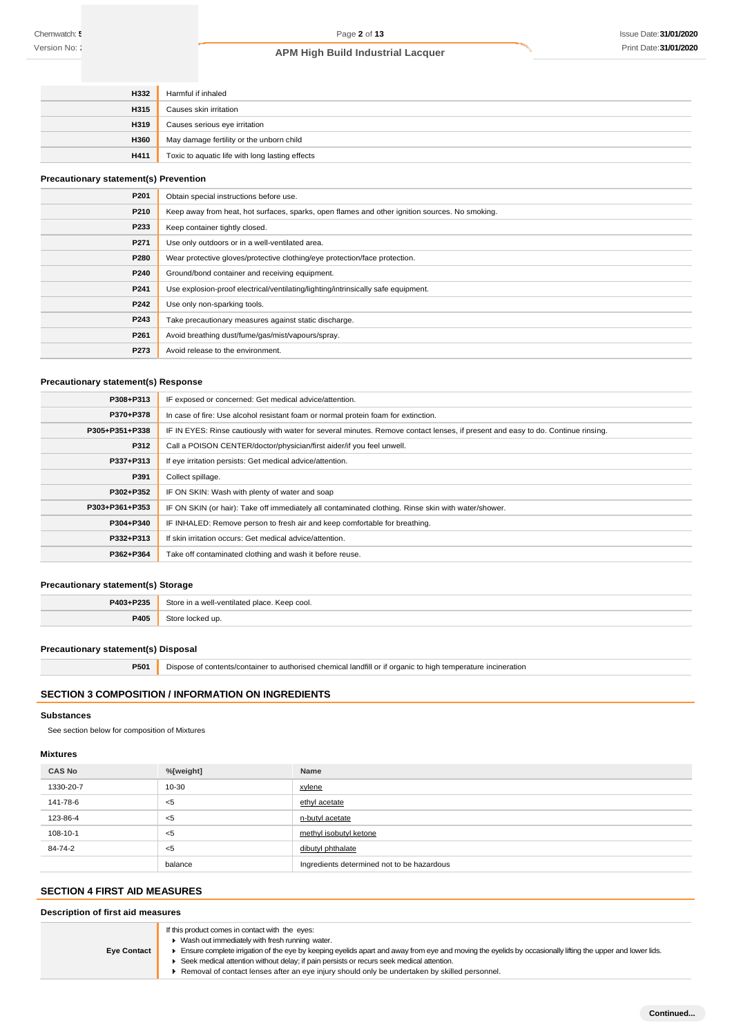| H332        | Harmful if inhaled                              |
|-------------|-------------------------------------------------|
| H315        | Causes skin irritation                          |
| H319        | Causes serious eye irritation                   |
| <b>H360</b> | May damage fertility or the unborn child        |
| <b>H411</b> | Toxic to aquatic life with long lasting effects |

#### **Precautionary statement(s) Prevention**

| P201 | Obtain special instructions before use.                                                        |
|------|------------------------------------------------------------------------------------------------|
| P210 | Keep away from heat, hot surfaces, sparks, open flames and other ignition sources. No smoking. |
| P233 | Keep container tightly closed.                                                                 |
| P271 | Use only outdoors or in a well-ventilated area.                                                |
| P280 | Wear protective gloves/protective clothing/eye protection/face protection.                     |
| P240 | Ground/bond container and receiving equipment.                                                 |
| P241 | Use explosion-proof electrical/ventilating/lighting/intrinsically safe equipment.              |
| P242 | Use only non-sparking tools.                                                                   |
| P243 | Take precautionary measures against static discharge.                                          |
| P261 | Avoid breathing dust/fume/gas/mist/vapours/spray.                                              |
| P273 | Avoid release to the environment.                                                              |

# **Precautionary statement(s) Response**

| P308+P313      | IF exposed or concerned: Get medical advice/attention.                                                                           |  |  |
|----------------|----------------------------------------------------------------------------------------------------------------------------------|--|--|
| P370+P378      | In case of fire: Use alcohol resistant foam or normal protein foam for extinction.                                               |  |  |
| P305+P351+P338 | IF IN EYES: Rinse cautiously with water for several minutes. Remove contact lenses, if present and easy to do. Continue rinsing. |  |  |
| P312           | Call a POISON CENTER/doctor/physician/first aider/if you feel unwell.                                                            |  |  |
| P337+P313      | If eye irritation persists: Get medical advice/attention.                                                                        |  |  |
| P391           | Collect spillage.                                                                                                                |  |  |
| P302+P352      | IF ON SKIN: Wash with plenty of water and soap                                                                                   |  |  |
| P303+P361+P353 | IF ON SKIN (or hair): Take off immediately all contaminated clothing. Rinse skin with water/shower.                              |  |  |
| P304+P340      | IF INHALED: Remove person to fresh air and keep comfortable for breathing.                                                       |  |  |
| P332+P313      | If skin irritation occurs: Get medical advice/attention.                                                                         |  |  |
| P362+P364      | Take off contaminated clothing and wash it before reuse.                                                                         |  |  |

### **Precautionary statement(s) Storage**

| P403+P235 | Store in a well-ventilated place. Keep cool. |  |
|-----------|----------------------------------------------|--|
| P405      | Store locked up.                             |  |

#### **Precautionary statement(s) Disposal**

**P501** Dispose of contents/container to authorised chemical landfill or if organic to high temperature incineration

### **SECTION 3 COMPOSITION / INFORMATION ON INGREDIENTS**

#### **Substances**

See section below for composition of Mixtures

### **Mixtures**

| <b>CAS No</b> | %[weight] | Name                                       |
|---------------|-----------|--------------------------------------------|
| 1330-20-7     | 10-30     | xylene                                     |
| 141-78-6      | - <5      | ethyl acetate                              |
| 123-86-4      | ≺5        | n-butyl acetate                            |
| 108-10-1      | ≺5        | methyl isobutyl ketone                     |
| 84-74-2       | ≺5        | dibutyl phthalate                          |
|               | balance   | Ingredients determined not to be hazardous |

# **SECTION 4 FIRST AID MEASURES**

# **Description of first aid measures**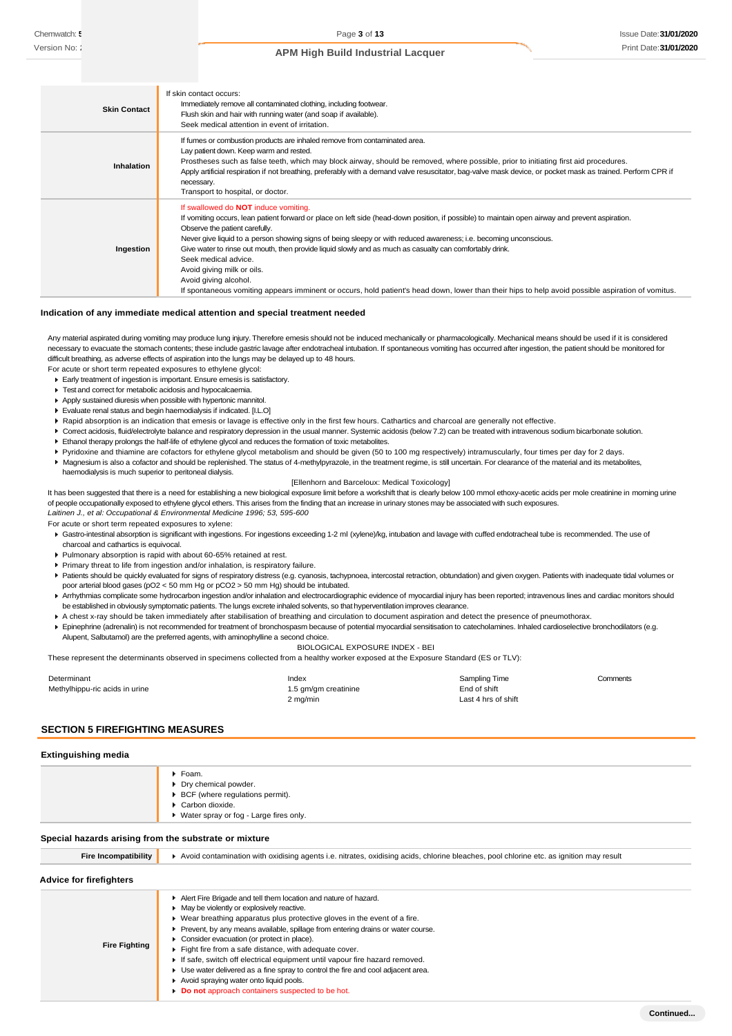| <b>Skin Contact</b> | If skin contact occurs:<br>Immediately remove all contaminated clothing, including footwear.                                                                                    |
|---------------------|---------------------------------------------------------------------------------------------------------------------------------------------------------------------------------|
|                     | Flush skin and hair with running water (and soap if available).                                                                                                                 |
|                     | Seek medical attention in event of irritation.                                                                                                                                  |
|                     | If furnes or combustion products are inhaled remove from contaminated area.                                                                                                     |
|                     | Lay patient down. Keep warm and rested.<br>Prostheses such as false teeth, which may block airway, should be removed, where possible, prior to initiating first aid procedures. |
| <b>Inhalation</b>   | Apply artificial respiration if not breathing, preferably with a demand valve resuscitator, bag-valve mask device, or pocket mask as trained. Perform CPR if                    |
|                     | necessary.                                                                                                                                                                      |
|                     | Transport to hospital, or doctor.                                                                                                                                               |
|                     | If swallowed do <b>NOT</b> induce vomiting.                                                                                                                                     |
|                     | If vomiting occurs, lean patient forward or place on left side (head-down position, if possible) to maintain open airway and prevent aspiration.                                |
|                     | Observe the patient carefully.                                                                                                                                                  |
|                     | Never give liquid to a person showing signs of being sleepy or with reduced awareness; i.e. becoming unconscious.                                                               |
| Ingestion           | Give water to rinse out mouth, then provide liquid slowly and as much as casualty can comfortably drink.                                                                        |
|                     | Seek medical advice.                                                                                                                                                            |
|                     | Avoid giving milk or oils.                                                                                                                                                      |
|                     | Avoid giving alcohol.                                                                                                                                                           |
|                     | If spontaneous vomiting appears imminent or occurs, hold patient's head down, lower than their hips to help avoid possible aspiration of vomitus.                               |

#### **Indication of any immediate medical attention and special treatment needed**

Any material aspirated during vomiting may produce lung injury. Therefore emesis should not be induced mechanically or pharmacologically. Mechanical means should be used if it is considered necessary to evacuate the stomach contents; these include gastric lavage after endotracheal intubation. If spontaneous vomiting has occurred after ingestion, the patient should be monitored for difficult breathing, as adverse effects of aspiration into the lungs may be delayed up to 48 hours.

For acute or short term repeated exposures to ethylene glycol:

- Early treatment of ingestion is important. Ensure emesis is satisfactory.
- **F** Test and correct for metabolic acidosis and hypocalcaemia.
- Apply sustained diuresis when possible with hypertonic mannitol.
- Evaluate renal status and begin haemodialysis if indicated. [I.L.O]
- Rapid absorption is an indication that emesis or lavage is effective only in the first few hours. Cathartics and charcoal are generally not effective.
- Correct acidosis, fluid/electrolyte balance and respiratory depression in the usual manner. Systemic acidosis (below 7.2) can be treated with intravenous sodium bicarbonate solution.
- Ethanol therapy prolongs the half-life of ethylene glycol and reduces the formation of toxic metabolites.
- Pyridoxine and thiamine are cofactors for ethylene glycol metabolism and should be given (50 to 100 mg respectively) intramuscularly, four times per day for 2 days.
- Magnesium is also a cofactor and should be replenished. The status of 4-methylpyrazole, in the treatment regime, is still uncertain. For clearance of the material and its metabolites, haemodialysis is much superior to peritoneal dialysis.

#### [Ellenhorn and Barceloux: Medical Toxicology]

It has been suggested that there is a need for establishing a new biological exposure limit before a workshift that is clearly below 100 mmol ethoxy-acetic acids per mole creatinine in morning urine of people occupationally exposed to ethylene glycol ethers. This arises from the finding that an increase in urinary stones may be associated with such exposures. *Laitinen J., et al: Occupational & Environmental Medicine 1996; 53, 595-600*

For acute or short term repeated exposures to xylene:

- Gastro-intestinal absorption is significant with ingestions. For ingestions exceeding 1-2 ml (xylene)/kg, intubation and lavage with cuffed endotracheal tube is recommended. The use of charcoal and cathartics is equivocal.
- Pulmonary absorption is rapid with about 60-65% retained at rest.
- Primary threat to life from ingestion and/or inhalation, is respiratory failure.
- Patients should be quickly evaluated for signs of respiratory distress (e.g. cyanosis, tachypnoea, intercostal retraction, obtundation) and given oxygen. Patients with inadequate tidal volumes or poor arterial blood gases (pO2 < 50 mm Hg or pCO2 > 50 mm Hg) should be intubated.
- ▶ Arrhythmias complicate some hydrocarbon ingestion and/or inhalation and electrocardiographic evidence of myocardial injury has been reported; intravenous lines and cardiac monitors should be established in obviously symptomatic patients. The lungs excrete inhaled solvents, so that hyperventilation improves clearance.
- A chest x-ray should be taken immediately after stabilisation of breathing and circulation to document aspiration and detect the presence of pneumothorax.
- Epinephrine (adrenalin) is not recommended for treatment of bronchospasm because of potential myocardial sensitisation to catecholamines. Inhaled cardioselective bronchodilators (e.g. Alupent, Salbutamol) are the preferred agents, with aminophylline a second choice.

BIOLOGICAL EXPOSURE INDEX - BEI

These represent the determinants observed in specimens collected from a healthy worker exposed at the Exposure Standard (ES or TLV):

| Determinant                    | Index                | Sampling Time       | Comments |
|--------------------------------|----------------------|---------------------|----------|
| Methylhippu-ric acids in urine | 1.5 gm/gm creatinine | End of shift        |          |
|                                | 2 mg/min             | Last 4 hrs of shift |          |

#### **SECTION 5 FIREFIGHTING MEASURES**

#### **Extinguishing media**

|                                                                               | Foam.<br>▶ Dry chemical powder.<br>$\triangleright$ BCF (where regulations permit).<br>Carbon dioxide.<br>▶ Water spray or fog - Large fires only. |
|-------------------------------------------------------------------------------|----------------------------------------------------------------------------------------------------------------------------------------------------|
| Special hazards arising from the substrate or mixture<br>Fire Incompatibility | ▶ Avoid contamination with oxidising agents i.e. nitrates, oxidising acids, chlorine bleaches, pool chlorine etc. as ignition may result           |

#### **Advice for firefighters**

| unice in illelidillelə |                                                                                                                                                                                                                                                                                                                                                                                                                                                                                                                                                                                                                                                            |
|------------------------|------------------------------------------------------------------------------------------------------------------------------------------------------------------------------------------------------------------------------------------------------------------------------------------------------------------------------------------------------------------------------------------------------------------------------------------------------------------------------------------------------------------------------------------------------------------------------------------------------------------------------------------------------------|
| <b>Fire Fighting</b>   | Alert Fire Brigade and tell them location and nature of hazard.<br>• May be violently or explosively reactive.<br>► Wear breathing apparatus plus protective gloves in the event of a fire.<br>• Prevent, by any means available, spillage from entering drains or water course.<br>• Consider evacuation (or protect in place).<br>Fight fire from a safe distance, with adequate cover.<br>If safe, switch off electrical equipment until vapour fire hazard removed.<br>► Use water delivered as a fine spray to control the fire and cool adjacent area.<br>Avoid spraying water onto liquid pools.<br>Do not approach containers suspected to be hot. |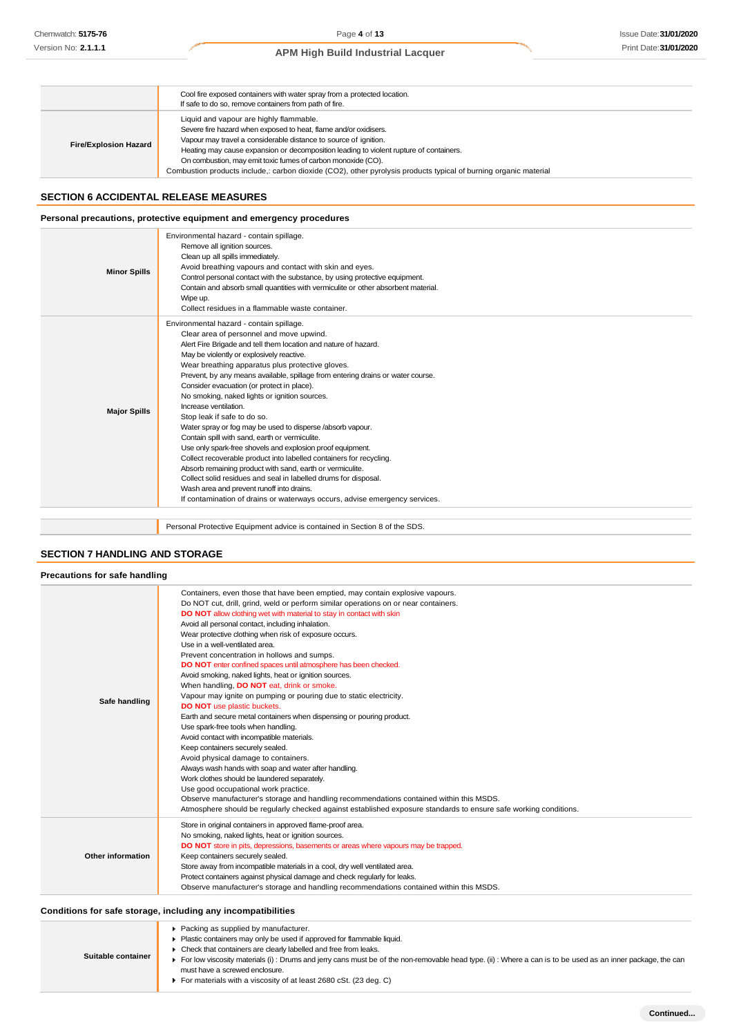|                              | Cool fire exposed containers with water spray from a protected location.<br>If safe to do so, remove containers from path of fire.                                                                                                                                                                                                                                                                                                                            |
|------------------------------|---------------------------------------------------------------------------------------------------------------------------------------------------------------------------------------------------------------------------------------------------------------------------------------------------------------------------------------------------------------------------------------------------------------------------------------------------------------|
| <b>Fire/Explosion Hazard</b> | Liquid and vapour are highly flammable.<br>Severe fire hazard when exposed to heat, flame and/or oxidisers.<br>Vapour may travel a considerable distance to source of ignition.<br>Heating may cause expansion or decomposition leading to violent rupture of containers.<br>On combustion, may emit toxic fumes of carbon monoxide (CO).<br>Combustion products include,: carbon dioxide (CO2), other pyrolysis products typical of burning organic material |

#### **SECTION 6 ACCIDENTAL RELEASE MEASURES**

### **Personal precautions, protective equipment and emergency procedures**

| <b>Minor Spills</b> | Environmental hazard - contain spillage.<br>Remove all ignition sources.<br>Clean up all spills immediately.<br>Avoid breathing vapours and contact with skin and eyes.<br>Control personal contact with the substance, by using protective equipment.<br>Contain and absorb small quantities with vermiculite or other absorbent material.<br>Wipe up.<br>Collect residues in a flammable waste container.                                                                                                                                                                                                                                                                                                                                                                                                                                                                                                                                                                                                        |
|---------------------|--------------------------------------------------------------------------------------------------------------------------------------------------------------------------------------------------------------------------------------------------------------------------------------------------------------------------------------------------------------------------------------------------------------------------------------------------------------------------------------------------------------------------------------------------------------------------------------------------------------------------------------------------------------------------------------------------------------------------------------------------------------------------------------------------------------------------------------------------------------------------------------------------------------------------------------------------------------------------------------------------------------------|
| <b>Major Spills</b> | Environmental hazard - contain spillage.<br>Clear area of personnel and move upwind.<br>Alert Fire Brigade and tell them location and nature of hazard.<br>May be violently or explosively reactive.<br>Wear breathing apparatus plus protective gloves.<br>Prevent, by any means available, spillage from entering drains or water course.<br>Consider evacuation (or protect in place).<br>No smoking, naked lights or ignition sources.<br>Increase ventilation.<br>Stop leak if safe to do so.<br>Water spray or fog may be used to disperse /absorb vapour.<br>Contain spill with sand, earth or vermiculite.<br>Use only spark-free shovels and explosion proof equipment.<br>Collect recoverable product into labelled containers for recycling.<br>Absorb remaining product with sand, earth or vermiculite.<br>Collect solid residues and seal in labelled drums for disposal.<br>Wash area and prevent runoff into drains.<br>If contamination of drains or waterways occurs, advise emergency services. |
|                     | Personal Protective Equipment advice is contained in Section 8 of the SDS.                                                                                                                                                                                                                                                                                                                                                                                                                                                                                                                                                                                                                                                                                                                                                                                                                                                                                                                                         |

### **SECTION 7 HANDLING AND STORAGE**

| Precautions for safe handling |                                                                                                                                                                                                                                                                                                                                                                                                                                                                                                                                                                                                                                                                                                                                                                                                                                                                                                                                                                                                                                                                                                                                                                                                                                                                                                                                               |
|-------------------------------|-----------------------------------------------------------------------------------------------------------------------------------------------------------------------------------------------------------------------------------------------------------------------------------------------------------------------------------------------------------------------------------------------------------------------------------------------------------------------------------------------------------------------------------------------------------------------------------------------------------------------------------------------------------------------------------------------------------------------------------------------------------------------------------------------------------------------------------------------------------------------------------------------------------------------------------------------------------------------------------------------------------------------------------------------------------------------------------------------------------------------------------------------------------------------------------------------------------------------------------------------------------------------------------------------------------------------------------------------|
| Safe handling                 | Containers, even those that have been emptied, may contain explosive vapours.<br>Do NOT cut, drill, grind, weld or perform similar operations on or near containers.<br>DO NOT allow clothing wet with material to stay in contact with skin<br>Avoid all personal contact, including inhalation.<br>Wear protective clothing when risk of exposure occurs.<br>Use in a well-ventilated area.<br>Prevent concentration in hollows and sumps.<br>DO NOT enter confined spaces until atmosphere has been checked.<br>Avoid smoking, naked lights, heat or ignition sources.<br>When handling, DO NOT eat, drink or smoke.<br>Vapour may ignite on pumping or pouring due to static electricity.<br><b>DO NOT</b> use plastic buckets.<br>Earth and secure metal containers when dispensing or pouring product.<br>Use spark-free tools when handling.<br>Avoid contact with incompatible materials.<br>Keep containers securely sealed.<br>Avoid physical damage to containers.<br>Always wash hands with soap and water after handling.<br>Work clothes should be laundered separately.<br>Use good occupational work practice.<br>Observe manufacturer's storage and handling recommendations contained within this MSDS.<br>Atmosphere should be regularly checked against established exposure standards to ensure safe working conditions. |
| Other information             | Store in original containers in approved flame-proof area.<br>No smoking, naked lights, heat or ignition sources.<br>DO NOT store in pits, depressions, basements or areas where vapours may be trapped.<br>Keep containers securely sealed.<br>Store away from incompatible materials in a cool, dry well ventilated area.<br>Protect containers against physical damage and check regularly for leaks.<br>Observe manufacturer's storage and handling recommendations contained within this MSDS.                                                                                                                                                                                                                                                                                                                                                                                                                                                                                                                                                                                                                                                                                                                                                                                                                                           |

### **Conditions for safe storage, including any incompatibilities**

| Suitable container | ▶ Packing as supplied by manufacturer.<br>• Plastic containers may only be used if approved for flammable liquid.<br>• Check that containers are clearly labelled and free from leaks.<br>For low viscosity materials (i): Drums and jerry cans must be of the non-removable head type. (ii): Where a can is to be used as an inner package, the can<br>must have a screwed enclosure.<br>For materials with a viscosity of at least 2680 cSt. (23 deg. C) |
|--------------------|------------------------------------------------------------------------------------------------------------------------------------------------------------------------------------------------------------------------------------------------------------------------------------------------------------------------------------------------------------------------------------------------------------------------------------------------------------|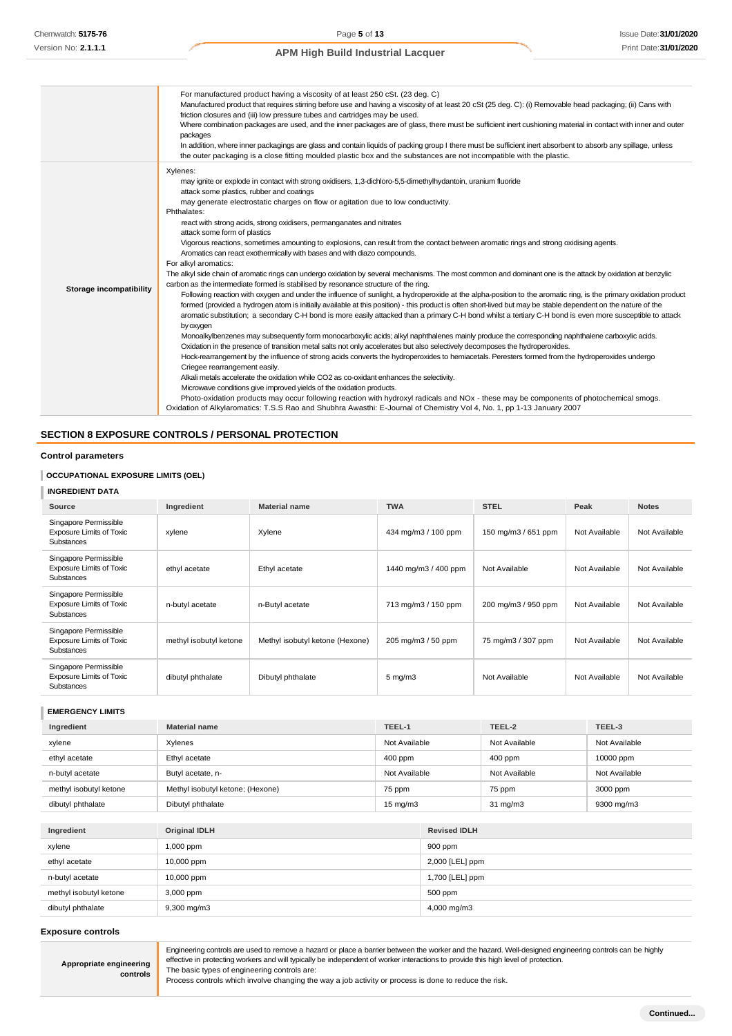|                         | For manufactured product having a viscosity of at least 250 cSt. (23 deg. C)<br>Manufactured product that requires stirring before use and having a viscosity of at least 20 cSt (25 deg. C): (i) Removable head packaging; (ii) Cans with<br>friction closures and (iii) low pressure tubes and cartridges may be used.<br>Where combination packages are used, and the inner packages are of glass, there must be sufficient inert cushioning material in contact with inner and outer<br>packages<br>In addition, where inner packagings are glass and contain liquids of packing group I there must be sufficient inert absorbent to absorb any spillage, unless<br>the outer packaging is a close fitting moulded plastic box and the substances are not incompatible with the plastic.                                                                                                                                                                                                                                                                                                                                                                                                                                                                                                                                                                                                                                                                                                                                                                                                                                                                                                                                                                                                                                                                                                                                                                                                                                                                                                                                                                                                                                                                                                                        |
|-------------------------|---------------------------------------------------------------------------------------------------------------------------------------------------------------------------------------------------------------------------------------------------------------------------------------------------------------------------------------------------------------------------------------------------------------------------------------------------------------------------------------------------------------------------------------------------------------------------------------------------------------------------------------------------------------------------------------------------------------------------------------------------------------------------------------------------------------------------------------------------------------------------------------------------------------------------------------------------------------------------------------------------------------------------------------------------------------------------------------------------------------------------------------------------------------------------------------------------------------------------------------------------------------------------------------------------------------------------------------------------------------------------------------------------------------------------------------------------------------------------------------------------------------------------------------------------------------------------------------------------------------------------------------------------------------------------------------------------------------------------------------------------------------------------------------------------------------------------------------------------------------------------------------------------------------------------------------------------------------------------------------------------------------------------------------------------------------------------------------------------------------------------------------------------------------------------------------------------------------------------------------------------------------------------------------------------------------------|
| Storage incompatibility | Xylenes:<br>may ignite or explode in contact with strong oxidisers, 1,3-dichloro-5,5-dimethylhydantoin, uranium fluoride<br>attack some plastics, rubber and coatings<br>may generate electrostatic charges on flow or agitation due to low conductivity.<br>Phthalates:<br>react with strong acids, strong oxidisers, permanganates and nitrates<br>attack some form of plastics<br>Vigorous reactions, sometimes amounting to explosions, can result from the contact between aromatic rings and strong oxidising agents.<br>Aromatics can react exothermically with bases and with diazo compounds.<br>For alkyl aromatics:<br>The alkyl side chain of aromatic rings can undergo oxidation by several mechanisms. The most common and dominant one is the attack by oxidation at benzylic<br>carbon as the intermediate formed is stabilised by resonance structure of the ring.<br>Following reaction with oxygen and under the influence of sunlight, a hydroperoxide at the alpha-position to the aromatic ring, is the primary oxidation product<br>formed (provided a hydrogen atom is initially available at this position) - this product is often short-lived but may be stable dependent on the nature of the<br>aromatic substitution; a secondary C-H bond is more easily attacked than a primary C-H bond whilst a tertiary C-H bond is even more susceptible to attack<br>by oxygen<br>Monoalkylbenzenes may subsequently form monocarboxylic acids; alkyl naphthalenes mainly produce the corresponding naphthalene carboxylic acids.<br>Oxidation in the presence of transition metal salts not only accelerates but also selectively decomposes the hydroperoxides.<br>Hock-rearrangement by the influence of strong acids converts the hydroperoxides to hemiacetals. Peresters formed from the hydroperoxides undergo<br>Criegee rearrangement easily.<br>Alkali metals accelerate the oxidation while CO2 as co-oxidant enhances the selectivity.<br>Microwave conditions give improved yields of the oxidation products.<br>Photo-oxidation products may occur following reaction with hydroxyl radicals and NOx - these may be components of photochemical smogs.<br>Oxidation of Alkylaromatics: T.S.S Rao and Shubhra Awasthi: E-Journal of Chemistry Vol 4, No. 1, pp 1-13 January 2007 |

#### **SECTION 8 EXPOSURE CONTROLS / PERSONAL PROTECTION**

### **Control parameters**

#### **OCCUPATIONAL EXPOSURE LIMITS (OEL)**

# **INGREDIENT DATA**

| Source                                                                        | Ingredient             | <b>Material name</b>            | <b>TWA</b>           | <b>STEL</b>         | Peak          | <b>Notes</b>  |  |
|-------------------------------------------------------------------------------|------------------------|---------------------------------|----------------------|---------------------|---------------|---------------|--|
| Singapore Permissible<br><b>Exposure Limits of Toxic</b><br><b>Substances</b> | xylene                 | Xylene                          | 434 mg/m3 / 100 ppm  | 150 mg/m3 / 651 ppm | Not Available | Not Available |  |
| Singapore Permissible<br><b>Exposure Limits of Toxic</b><br><b>Substances</b> | ethyl acetate          | Ethyl acetate                   | 1440 mg/m3 / 400 ppm | Not Available       | Not Available | Not Available |  |
| Singapore Permissible<br><b>Exposure Limits of Toxic</b><br><b>Substances</b> | n-butyl acetate        | n-Butyl acetate                 | 713 mg/m3 / 150 ppm  | 200 mg/m3 / 950 ppm | Not Available | Not Available |  |
| Singapore Permissible<br><b>Exposure Limits of Toxic</b><br>Substances        | methyl isobutyl ketone | Methyl isobutyl ketone (Hexone) | 205 mg/m3 / 50 ppm   | 75 mg/m3 / 307 ppm  | Not Available | Not Available |  |
| Singapore Permissible<br><b>Exposure Limits of Toxic</b><br><b>Substances</b> | dibutyl phthalate      | Dibutyl phthalate               | $5 \text{ mg/m}$ 3   | Not Available       | Not Available | Not Available |  |

#### **EMERGENCY LIMITS**

| Ingredient             | TEEL-1<br><b>Material name</b>             |               |                     | TEEL-2        | TEEL-3        |
|------------------------|--------------------------------------------|---------------|---------------------|---------------|---------------|
| xylene                 | Xylenes                                    | Not Available |                     | Not Available | Not Available |
| ethyl acetate          | Ethyl acetate                              | 400 ppm       |                     | 400 ppm       | 10000 ppm     |
| n-butyl acetate        | Butyl acetate, n-                          | Not Available |                     | Not Available | Not Available |
| methyl isobutyl ketone | Methyl isobutyl ketone; (Hexone)<br>75 ppm |               |                     | 75 ppm        | 3000 ppm      |
| dibutyl phthalate      | Dibutyl phthalate<br>$15 \text{ mg/m}$     |               | $31 \text{ mg/m}$   | 9300 mg/m3    |               |
|                        |                                            |               |                     |               |               |
| Ingredient             | <b>Original IDLH</b>                       |               | <b>Revised IDLH</b> |               |               |
| xylene                 | 1,000 ppm                                  |               | 900 ppm             |               |               |
| ethyl acetate          | 10,000 ppm                                 |               | 2,000 [LEL] ppm     |               |               |
| n-butyl acetate        | 10,000 ppm                                 |               | 1,700 [LEL] ppm     |               |               |
| methyl isobutyl ketone | 3,000 ppm                                  |               | 500 ppm             |               |               |
| dibutyl phthalate      | $9,300 \,\mathrm{mg/m}$                    |               | 4,000 mg/m3         |               |               |

#### **Exposure controls**

| Appropriate engineering |  |
|-------------------------|--|
| controls                |  |

Engineering controls are used to remove a hazard or place a barrier between the worker and the hazard. Well-designed engineering controls can be highly effective in protecting workers and will typically be independent of worker interactions to provide this high level of protection. The basic types of engineering controls are:

Process controls which involve changing the way a job activity or process is done to reduce the risk.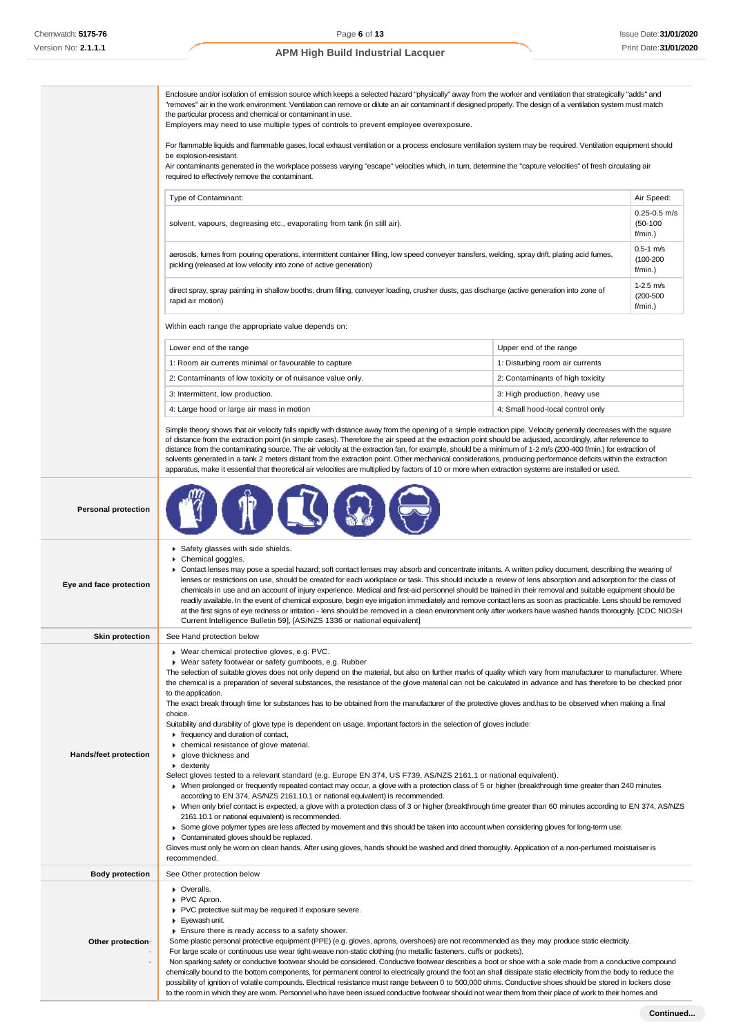|                              | Enclosure and/or isolation of emission source which keeps a selected hazard "physically" away from the worker and ventilation that strategically "adds" and<br>"removes" air in the work environment. Ventilation can remove or dilute an air contaminant if designed properly. The design of a ventilation system must match<br>the particular process and chemical or contaminant in use.<br>Employers may need to use multiple types of controls to prevent employee overexposure.                                                                                                                                                                                                                                                                                                                                                                                                                                                                                                                                                                                                                                                                                                                                                                                                                                                                                                                                                           |                                  |                                            |
|------------------------------|-------------------------------------------------------------------------------------------------------------------------------------------------------------------------------------------------------------------------------------------------------------------------------------------------------------------------------------------------------------------------------------------------------------------------------------------------------------------------------------------------------------------------------------------------------------------------------------------------------------------------------------------------------------------------------------------------------------------------------------------------------------------------------------------------------------------------------------------------------------------------------------------------------------------------------------------------------------------------------------------------------------------------------------------------------------------------------------------------------------------------------------------------------------------------------------------------------------------------------------------------------------------------------------------------------------------------------------------------------------------------------------------------------------------------------------------------|----------------------------------|--------------------------------------------|
|                              | For flammable liquids and flammable gases, local exhaust ventilation or a process enclosure ventilation system may be required. Ventilation equipment should<br>be explosion-resistant.<br>Air contaminants generated in the workplace possess varying "escape" velocities which, in turn, determine the "capture velocities" of fresh circulating air                                                                                                                                                                                                                                                                                                                                                                                                                                                                                                                                                                                                                                                                                                                                                                                                                                                                                                                                                                                                                                                                                          |                                  |                                            |
|                              | required to effectively remove the contaminant.                                                                                                                                                                                                                                                                                                                                                                                                                                                                                                                                                                                                                                                                                                                                                                                                                                                                                                                                                                                                                                                                                                                                                                                                                                                                                                                                                                                                 |                                  |                                            |
|                              | Type of Contaminant:                                                                                                                                                                                                                                                                                                                                                                                                                                                                                                                                                                                                                                                                                                                                                                                                                                                                                                                                                                                                                                                                                                                                                                                                                                                                                                                                                                                                                            |                                  | Air Speed:                                 |
|                              | solvent, vapours, degreasing etc., evaporating from tank (in still air).                                                                                                                                                                                                                                                                                                                                                                                                                                                                                                                                                                                                                                                                                                                                                                                                                                                                                                                                                                                                                                                                                                                                                                                                                                                                                                                                                                        |                                  | $0.25 - 0.5$ m/s<br>$(50-100)$<br>f/min.)  |
|                              | $0.5-1$ m/s<br>aerosols, fumes from pouring operations, intermittent container filling, low speed conveyer transfers, welding, spray drift, plating acid fumes,<br>$(100 - 200)$<br>pickling (released at low velocity into zone of active generation)<br>$f/min.$ )                                                                                                                                                                                                                                                                                                                                                                                                                                                                                                                                                                                                                                                                                                                                                                                                                                                                                                                                                                                                                                                                                                                                                                            |                                  |                                            |
|                              | direct spray, spray painting in shallow booths, drum filling, conveyer loading, crusher dusts, gas discharge (active generation into zone of<br>rapid air motion)                                                                                                                                                                                                                                                                                                                                                                                                                                                                                                                                                                                                                                                                                                                                                                                                                                                                                                                                                                                                                                                                                                                                                                                                                                                                               |                                  | $1-2.5$ m/s<br>$(200 - 500)$<br>$f/min.$ ) |
|                              | Within each range the appropriate value depends on:                                                                                                                                                                                                                                                                                                                                                                                                                                                                                                                                                                                                                                                                                                                                                                                                                                                                                                                                                                                                                                                                                                                                                                                                                                                                                                                                                                                             |                                  |                                            |
|                              | Lower end of the range                                                                                                                                                                                                                                                                                                                                                                                                                                                                                                                                                                                                                                                                                                                                                                                                                                                                                                                                                                                                                                                                                                                                                                                                                                                                                                                                                                                                                          | Upper end of the range           |                                            |
|                              | 1: Room air currents minimal or favourable to capture                                                                                                                                                                                                                                                                                                                                                                                                                                                                                                                                                                                                                                                                                                                                                                                                                                                                                                                                                                                                                                                                                                                                                                                                                                                                                                                                                                                           | 1: Disturbing room air currents  |                                            |
|                              | 2: Contaminants of low toxicity or of nuisance value only.                                                                                                                                                                                                                                                                                                                                                                                                                                                                                                                                                                                                                                                                                                                                                                                                                                                                                                                                                                                                                                                                                                                                                                                                                                                                                                                                                                                      | 2: Contaminants of high toxicity |                                            |
|                              | 3: Intermittent, low production.                                                                                                                                                                                                                                                                                                                                                                                                                                                                                                                                                                                                                                                                                                                                                                                                                                                                                                                                                                                                                                                                                                                                                                                                                                                                                                                                                                                                                | 3: High production, heavy use    |                                            |
|                              | 4: Large hood or large air mass in motion                                                                                                                                                                                                                                                                                                                                                                                                                                                                                                                                                                                                                                                                                                                                                                                                                                                                                                                                                                                                                                                                                                                                                                                                                                                                                                                                                                                                       | 4: Small hood-local control only |                                            |
|                              | Simple theory shows that air velocity falls rapidly with distance away from the opening of a simple extraction pipe. Velocity generally decreases with the square<br>of distance from the extraction point (in simple cases). Therefore the air speed at the extraction point should be adjusted, accordingly, after reference to<br>distance from the contaminating source. The air velocity at the extraction fan, for example, should be a minimum of 1-2 m/s (200-400 f/min.) for extraction of<br>solvents generated in a tank 2 meters distant from the extraction point. Other mechanical considerations, producing performance deficits within the extraction<br>apparatus, make it essential that theoretical air velocities are multiplied by factors of 10 or more when extraction systems are installed or used.                                                                                                                                                                                                                                                                                                                                                                                                                                                                                                                                                                                                                    |                                  |                                            |
| <b>Personal protection</b>   |                                                                                                                                                                                                                                                                                                                                                                                                                                                                                                                                                                                                                                                                                                                                                                                                                                                                                                                                                                                                                                                                                                                                                                                                                                                                                                                                                                                                                                                 |                                  |                                            |
| Eye and face protection      | Safety glasses with side shields.<br>Chemical goggles.<br>▶ Contact lenses may pose a special hazard; soft contact lenses may absorb and concentrate irritants. A written policy document, describing the wearing of<br>lenses or restrictions on use, should be created for each workplace or task. This should include a review of lens absorption and adsorption for the class of<br>chemicals in use and an account of injury experience. Medical and first-aid personnel should be trained in their removal and suitable equipment should be<br>readily available. In the event of chemical exposure, begin eye irrigation immediately and remove contact lens as soon as practicable. Lens should be removed<br>at the first signs of eye redness or irritation - lens should be removed in a clean environment only after workers have washed hands thoroughly. [CDC NIOSH<br>Current Intelligence Bulletin 59], [AS/NZS 1336 or national equivalent]                                                                                                                                                                                                                                                                                                                                                                                                                                                                                    |                                  |                                            |
| <b>Skin protection</b>       | See Hand protection below                                                                                                                                                                                                                                                                                                                                                                                                                                                                                                                                                                                                                                                                                                                                                                                                                                                                                                                                                                                                                                                                                                                                                                                                                                                                                                                                                                                                                       |                                  |                                            |
| <b>Hands/feet protection</b> | ▶ Wear chemical protective gloves, e.g. PVC.<br>▶ Wear safety footwear or safety gumboots, e.g. Rubber<br>The selection of suitable gloves does not only depend on the material, but also on further marks of quality which vary from manufacturer to manufacturer. Where<br>the chemical is a preparation of several substances, the resistance of the glove material can not be calculated in advance and has therefore to be checked prior<br>to the application.<br>The exact break through time for substances has to be obtained from the manufacturer of the protective gloves and has to be observed when making a final<br>choice.<br>Suitability and durability of glove type is dependent on usage. Important factors in the selection of gloves include:<br>Firequency and duration of contact,<br>• chemical resistance of glove material,<br>glove thickness and<br>$\blacktriangleright$ dexterity<br>Select gloves tested to a relevant standard (e.g. Europe EN 374, US F739, AS/NZS 2161.1 or national equivalent).<br>• When prolonged or frequently repeated contact may occur, a glove with a protection class of 5 or higher (breakthrough time greater than 240 minutes<br>according to EN 374, AS/NZS 2161.10.1 or national equivalent) is recommended.<br>▶ When only brief contact is expected, a glove with a protection class of 3 or higher (breakthrough time greater than 60 minutes according to EN 374, AS/NZS |                                  |                                            |
|                              | 2161.10.1 or national equivalent) is recommended.<br>► Some glove polymer types are less affected by movement and this should be taken into account when considering gloves for long-term use.<br>Contaminated gloves should be replaced.<br>Gloves must only be wom on clean hands. After using gloves, hands should be washed and dried thoroughly. Application of a non-perfumed moisturiser is<br>recommended.                                                                                                                                                                                                                                                                                                                                                                                                                                                                                                                                                                                                                                                                                                                                                                                                                                                                                                                                                                                                                              |                                  |                                            |
| <b>Body protection</b>       | See Other protection below                                                                                                                                                                                                                                                                                                                                                                                                                                                                                                                                                                                                                                                                                                                                                                                                                                                                                                                                                                                                                                                                                                                                                                                                                                                                                                                                                                                                                      |                                  |                                            |
| Other protection-            | • Overalls.<br>PVC Apron.<br>PVC protective suit may be required if exposure severe.<br>Eyewash unit.<br>Ensure there is ready access to a safety shower.<br>Some plastic personal protective equipment (PPE) (e.g. gloves, aprons, overshoes) are not recommended as they may produce static electricity.<br>For large scale or continuous use wear tight-weave non-static clothing (no metallic fasteners, cuffs or pockets).                                                                                                                                                                                                                                                                                                                                                                                                                                                                                                                                                                                                                                                                                                                                                                                                                                                                                                                                                                                                                 |                                  |                                            |
|                              | Non sparking safety or conductive footwear should be considered. Conductive footwear describes a boot or shoe with a sole made from a conductive compound                                                                                                                                                                                                                                                                                                                                                                                                                                                                                                                                                                                                                                                                                                                                                                                                                                                                                                                                                                                                                                                                                                                                                                                                                                                                                       |                                  |                                            |

chemically bound to the bottom components, for permanent control to electrically ground the foot an shall dissipate static electricity from the body to reduce the possibility of ignition of volatile compounds. Electrical resistance must range between 0 to 500,000 ohms. Conductive shoes should be stored in lockers close to the room in which they are worn. Personnel who have been issued conductive footwear should not wear them from their place of work to their homes and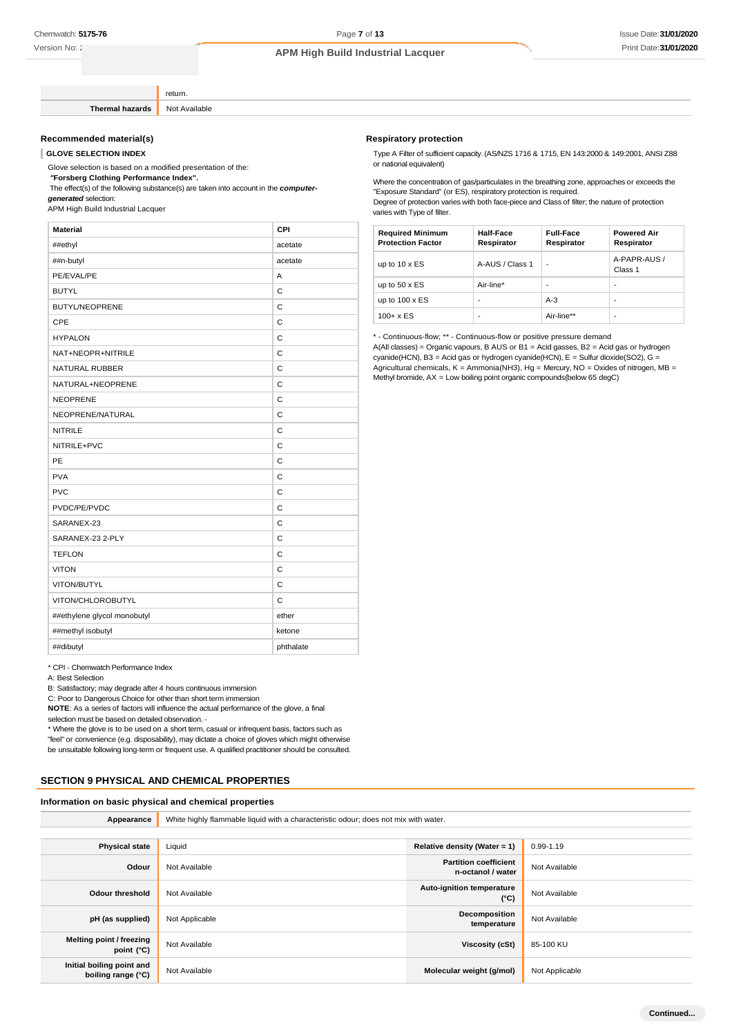Version No: 2

### **APM High Build Industrial Lacquer**

return **Thermal hazards** Not Available

#### **Recommended material(s)**

**GLOVE SELECTION INDEX**

Glove selection is based on a modified presentation of the:

*"***Forsberg Clothing Performance Index".**

The effect(s) of the following substance(s) are taken into account in the *computergenerated* selection:

APM High Build Industrial Lacquer

| ##ethyl<br>##n-butyl        | acetate<br>acetate<br>A |
|-----------------------------|-------------------------|
|                             |                         |
|                             |                         |
| PE/EVAL/PE                  |                         |
| <b>BUTYL</b>                | C                       |
| <b>BUTYL/NEOPRENE</b>       | C                       |
| <b>CPE</b>                  | Ċ                       |
| <b>HYPALON</b>              | C                       |
| NAT+NEOPR+NITRILE           | $\mathsf{C}$            |
| <b>NATURAL RUBBER</b>       | Ċ                       |
| NATURAL+NEOPRENE            | C                       |
| <b>NEOPRENE</b>             | $\mathsf{C}$            |
| NEOPRENE/NATURAL            | Ċ                       |
| <b>NITRILE</b>              | C                       |
| NITRILE+PVC                 | $\mathsf{C}$            |
| PE                          | Ċ                       |
| <b>PVA</b>                  | C                       |
| <b>PVC</b>                  | $\mathsf{C}$            |
| PVDC/PE/PVDC                | Ċ                       |
| SARANEX-23                  | C                       |
| SARANEX-23 2-PLY            | $\mathsf{C}$            |
| <b>TEFLON</b>               | Ċ                       |
| <b>VITON</b>                | C                       |
| VITON/BUTYL                 | C                       |
| VITON/CHLOROBUTYL           | $\mathsf{C}$            |
| ##ethylene glycol monobutyl | ether                   |
| ##methyl isobutyl           | ketone                  |
| ##dibutyl                   | phthalate               |

\* CPI - Chemwatch Performance Index

A: Best Selection

B: Satisfactory; may degrade after 4 hours continuous immersion

C: Poor to Dangerous Choice for other than short term immersion

**NOTE**: As a series of factors will influence the actual performance of the glove, a final

selection must be based on detailed observation. -

\* Where the glove is to be used on a short term, casual or infrequent basis, factors such as "feel" or convenience (e.g. disposability), may dictate a choice of gloves which might otherwise be unsuitable following long-term or frequent use. A qualified practitioner should be consulted.

#### **SECTION 9 PHYSICAL AND CHEMICAL PROPERTIES**

#### **Information on basic physical and chemical properties**

| Appearance                                      | White highly flammable liquid with a characteristic odour; does not mix with water. |                                                   |                |
|-------------------------------------------------|-------------------------------------------------------------------------------------|---------------------------------------------------|----------------|
|                                                 |                                                                                     |                                                   |                |
| <b>Physical state</b>                           | Liquid                                                                              | Relative density (Water = 1)                      | $0.99 - 1.19$  |
| Odour                                           | Not Available                                                                       | <b>Partition coefficient</b><br>n-octanol / water | Not Available  |
| <b>Odour threshold</b>                          | Not Available                                                                       | <b>Auto-ignition temperature</b><br>$(^{\circ}C)$ | Not Available  |
| pH (as supplied)                                | Not Applicable                                                                      | Decomposition<br>temperature                      | Not Available  |
| Melting point / freezing<br>point $(^{\circ}C)$ | Not Available                                                                       | <b>Viscosity (cSt)</b>                            | 85-100 KU      |
| Initial boiling point and<br>boiling range (°C) | Not Available                                                                       | Molecular weight (g/mol)                          | Not Applicable |

#### **Respiratory protection**

Type A Filter of sufficient capacity. (AS/NZS 1716 & 1715, EN 143:2000 & 149:2001, ANSI Z88 or national equivalent)

Where the concentration of gas/particulates in the breathing zone, approaches or exceeds the "Exposure Standard" (or ES), respiratory protection is required. Degree of protection varies with both face-piece and Class of filter; the nature of protection varies with Type of filter.

| <b>Required Minimum</b><br><b>Protection Factor</b> | <b>Half-Face</b><br>Respirator | <b>Full-Face</b><br>Respirator | <b>Powered Air</b><br>Respirator |
|-----------------------------------------------------|--------------------------------|--------------------------------|----------------------------------|
| up to $10 \times ES$                                | A-AUS / Class 1                | -                              | A-PAPR-AUS /<br>Class 1          |
| up to $50 \times ES$                                | Air-line*                      | -                              | -                                |
| up to $100 \times ES$                               | -                              | $A-3$                          | -                                |
| $100 + x ES$                                        | ٠                              | Air-line**                     |                                  |

\* - Continuous-flow; \*\* - Continuous-flow or positive pressure demand

A(All classes) = Organic vapours, B AUS or B1 = Acid gasses, B2 = Acid gas or hydrogen cyanide(HCN), B3 = Acid gas or hydrogen cyanide(HCN), E = Sulfur dioxide(SO2), G = Agricultural chemicals, K = Ammonia(NH3), Hg = Mercury, NO = Oxides of nitrogen, MB = Methyl bromide, AX = Low boiling point organic compounds(below 65 degC)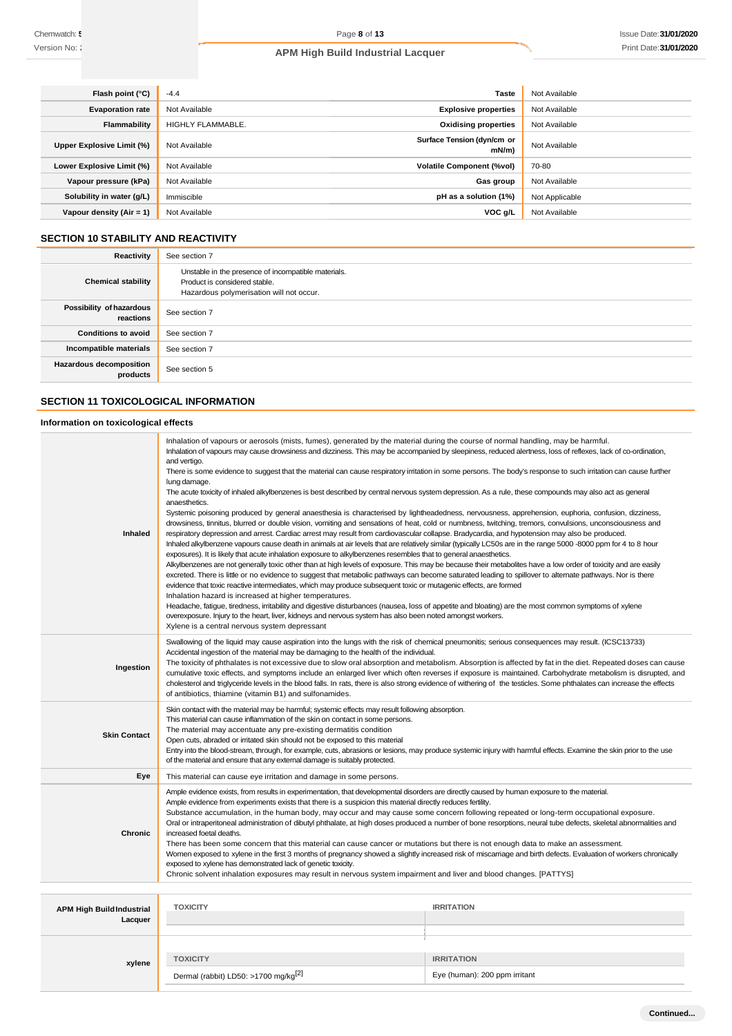| Flash point (°C)          | $-4.4$            | <b>Taste</b>                           | Not Available  |
|---------------------------|-------------------|----------------------------------------|----------------|
| <b>Evaporation rate</b>   | Not Available     | <b>Explosive properties</b>            | Not Available  |
| Flammability              | HIGHLY FLAMMABLE. | <b>Oxidising properties</b>            | Not Available  |
| Upper Explosive Limit (%) | Not Available     | Surface Tension (dyn/cm or<br>$mN/m$ ) | Not Available  |
| Lower Explosive Limit (%) | Not Available     | <b>Volatile Component (%vol)</b>       | 70-80          |
| Vapour pressure (kPa)     | Not Available     | Gas group                              | Not Available  |
| Solubility in water (g/L) | Immiscible        | pH as a solution (1%)                  | Not Applicable |
| Vapour density (Air = 1)  | Not Available     | VOC g/L                                | Not Available  |

# **SECTION 10 STABILITY AND REACTIVITY**

| Reactivity                                 | See section 7                                                                                                                    |
|--------------------------------------------|----------------------------------------------------------------------------------------------------------------------------------|
| <b>Chemical stability</b>                  | Unstable in the presence of incompatible materials.<br>Product is considered stable.<br>Hazardous polymerisation will not occur. |
| Possibility of hazardous<br>reactions      | See section 7                                                                                                                    |
| <b>Conditions to avoid</b>                 | See section 7                                                                                                                    |
| Incompatible materials                     | See section 7                                                                                                                    |
| <b>Hazardous decomposition</b><br>products | See section 5                                                                                                                    |
|                                            |                                                                                                                                  |

# **SECTION 11 TOXICOLOGICAL INFORMATION**

# **Information on toxicological effects**

|                                                                                                                                  | Inhalation of vapours or aerosols (mists, fumes), generated by the material during the course of normal handling, may be harmful.                                                                                                                                                                                           |                                                                                                                                                                                                                                                                                                                           |
|----------------------------------------------------------------------------------------------------------------------------------|-----------------------------------------------------------------------------------------------------------------------------------------------------------------------------------------------------------------------------------------------------------------------------------------------------------------------------|---------------------------------------------------------------------------------------------------------------------------------------------------------------------------------------------------------------------------------------------------------------------------------------------------------------------------|
|                                                                                                                                  | Inhalation of vapours may cause drowsiness and dizziness. This may be accompanied by sleepiness, reduced alertness, loss of reflexes, lack of co-ordination,                                                                                                                                                                |                                                                                                                                                                                                                                                                                                                           |
|                                                                                                                                  | and vertigo.<br>There is some evidence to suggest that the material can cause respiratory irritation in some persons. The body's response to such irritation can cause further                                                                                                                                              |                                                                                                                                                                                                                                                                                                                           |
|                                                                                                                                  | lung damage.                                                                                                                                                                                                                                                                                                                |                                                                                                                                                                                                                                                                                                                           |
|                                                                                                                                  | The acute toxicity of inhaled alkylbenzenes is best described by central nervous system depression. As a rule, these compounds may also act as general                                                                                                                                                                      |                                                                                                                                                                                                                                                                                                                           |
|                                                                                                                                  | anaesthetics.<br>Systemic poisoning produced by general anaesthesia is characterised by lightheadedness, nervousness, apprehension, euphoria, confusion, dizziness,                                                                                                                                                         |                                                                                                                                                                                                                                                                                                                           |
|                                                                                                                                  | drowsiness, tinnitus, blurred or double vision, vomiting and sensations of heat, cold or numbness, twitching, tremors, convulsions, unconsciousness and                                                                                                                                                                     |                                                                                                                                                                                                                                                                                                                           |
| <b>Inhaled</b>                                                                                                                   | respiratory depression and arrest. Cardiac arrest may result from cardiovascular collapse. Bradycardia, and hypotension may also be produced.                                                                                                                                                                               |                                                                                                                                                                                                                                                                                                                           |
|                                                                                                                                  | Inhaled alkylbenzene vapours cause death in animals at air levels that are relatively similar (typically LC50s are in the range 5000 -8000 ppm for 4 to 8 hour                                                                                                                                                              |                                                                                                                                                                                                                                                                                                                           |
|                                                                                                                                  | exposures). It is likely that acute inhalation exposure to alkylbenzenes resembles that to general anaesthetics.                                                                                                                                                                                                            |                                                                                                                                                                                                                                                                                                                           |
|                                                                                                                                  | Alkylbenzenes are not generally toxic other than at high levels of exposure. This may be because their metabolites have a low order of toxicity and are easily<br>excreted. There is little or no evidence to suggest that metabolic pathways can become saturated leading to spillover to alternate pathways. Nor is there |                                                                                                                                                                                                                                                                                                                           |
|                                                                                                                                  | evidence that toxic reactive intermediates, which may produce subsequent toxic or mutagenic effects, are formed                                                                                                                                                                                                             |                                                                                                                                                                                                                                                                                                                           |
|                                                                                                                                  | Inhalation hazard is increased at higher temperatures.                                                                                                                                                                                                                                                                      |                                                                                                                                                                                                                                                                                                                           |
|                                                                                                                                  | Headache, fatigue, tiredness, irritability and digestive disturbances (nausea, loss of appetite and bloating) are the most common symptoms of xylene                                                                                                                                                                        |                                                                                                                                                                                                                                                                                                                           |
|                                                                                                                                  | overexposure. Injury to the heart, liver, kidneys and nervous system has also been noted amongst workers.<br>Xylene is a central nervous system depressant                                                                                                                                                                  |                                                                                                                                                                                                                                                                                                                           |
|                                                                                                                                  | Swallowing of the liquid may cause aspiration into the lungs with the risk of chemical pneumonitis; serious consequences may result. (ICSC13733)                                                                                                                                                                            |                                                                                                                                                                                                                                                                                                                           |
|                                                                                                                                  | Accidental ingestion of the material may be damaging to the health of the individual.                                                                                                                                                                                                                                       |                                                                                                                                                                                                                                                                                                                           |
| Ingestion                                                                                                                        |                                                                                                                                                                                                                                                                                                                             | The toxicity of phthalates is not excessive due to slow oral absorption and metabolism. Absorption is affected by fat in the diet. Repeated doses can cause<br>cumulative toxic effects, and symptoms include an enlarged liver which often reverses if exposure is maintained. Carbohydrate metabolism is disrupted, and |
|                                                                                                                                  | cholesterol and triglyceride levels in the blood falls. In rats, there is also strong evidence of withering of the testicles. Some phthalates can increase the effects                                                                                                                                                      |                                                                                                                                                                                                                                                                                                                           |
|                                                                                                                                  | of antibiotics, thiamine (vitamin B1) and sulfonamides.                                                                                                                                                                                                                                                                     |                                                                                                                                                                                                                                                                                                                           |
|                                                                                                                                  | Skin contact with the material may be harmful; systemic effects may result following absorption.                                                                                                                                                                                                                            |                                                                                                                                                                                                                                                                                                                           |
|                                                                                                                                  | This material can cause inflammation of the skin on contact in some persons.<br>The material may accentuate any pre-existing dermatitis condition                                                                                                                                                                           |                                                                                                                                                                                                                                                                                                                           |
| <b>Skin Contact</b>                                                                                                              | Open cuts, abraded or irritated skin should not be exposed to this material                                                                                                                                                                                                                                                 |                                                                                                                                                                                                                                                                                                                           |
|                                                                                                                                  | Entry into the blood-stream, through, for example, cuts, abrasions or lesions, may produce systemic injury with harmful effects. Examine the skin prior to the use                                                                                                                                                          |                                                                                                                                                                                                                                                                                                                           |
|                                                                                                                                  | of the material and ensure that any external damage is suitably protected.                                                                                                                                                                                                                                                  |                                                                                                                                                                                                                                                                                                                           |
| Eye                                                                                                                              | This material can cause eye irritation and damage in some persons.                                                                                                                                                                                                                                                          |                                                                                                                                                                                                                                                                                                                           |
|                                                                                                                                  | Ample evidence exists, from results in experimentation, that developmental disorders are directly caused by human exposure to the material.<br>Ample evidence from experiments exists that there is a suspicion this material directly reduces fertility.                                                                   |                                                                                                                                                                                                                                                                                                                           |
|                                                                                                                                  | Substance accumulation, in the human body, may occur and may cause some concern following repeated or long-term occupational exposure.                                                                                                                                                                                      |                                                                                                                                                                                                                                                                                                                           |
|                                                                                                                                  | Oral or intraperitoneal administration of dibutyl phthalate, at high doses produced a number of bone resorptions, neural tube defects, skeletal abnormalities and                                                                                                                                                           |                                                                                                                                                                                                                                                                                                                           |
| <b>Chronic</b>                                                                                                                   | increased foetal deaths.                                                                                                                                                                                                                                                                                                    |                                                                                                                                                                                                                                                                                                                           |
| There has been some concern that this material can cause cancer or mutations but there is not enough data to make an assessment. |                                                                                                                                                                                                                                                                                                                             |                                                                                                                                                                                                                                                                                                                           |
|                                                                                                                                  |                                                                                                                                                                                                                                                                                                                             |                                                                                                                                                                                                                                                                                                                           |
|                                                                                                                                  | Women exposed to xylene in the first 3 months of pregnancy showed a slightly increased risk of miscarriage and birth defects. Evaluation of workers chronically<br>exposed to xylene has demonstrated lack of genetic toxicity.                                                                                             |                                                                                                                                                                                                                                                                                                                           |
|                                                                                                                                  | Chronic solvent inhalation exposures may result in nervous system impairment and liver and blood changes. [PATTYS]                                                                                                                                                                                                          |                                                                                                                                                                                                                                                                                                                           |
|                                                                                                                                  |                                                                                                                                                                                                                                                                                                                             |                                                                                                                                                                                                                                                                                                                           |
| <b>APM High Build Industrial</b>                                                                                                 | <b>TOXICITY</b>                                                                                                                                                                                                                                                                                                             | <b>IRRITATION</b>                                                                                                                                                                                                                                                                                                         |
| Lacquer                                                                                                                          |                                                                                                                                                                                                                                                                                                                             |                                                                                                                                                                                                                                                                                                                           |
|                                                                                                                                  |                                                                                                                                                                                                                                                                                                                             |                                                                                                                                                                                                                                                                                                                           |
|                                                                                                                                  |                                                                                                                                                                                                                                                                                                                             |                                                                                                                                                                                                                                                                                                                           |
| xylene                                                                                                                           | <b>TOXICITY</b><br>Dermal (rabbit) LD50: >1700 mg/kg <sup>[2]</sup>                                                                                                                                                                                                                                                         | <b>IRRITATION</b><br>Eye (human): 200 ppm irritant                                                                                                                                                                                                                                                                        |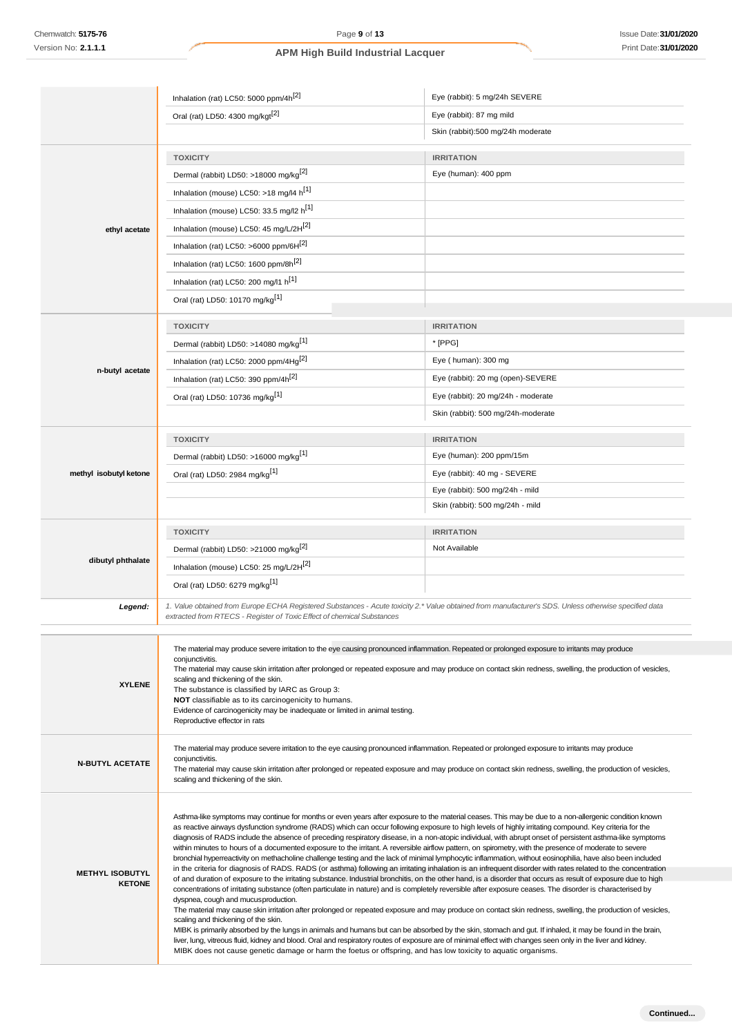|                                         | Inhalation (rat) LC50: 5000 ppm/4h <sup>[2]</sup>                                                                                                                                                                                                                                                                                                                                                                                                                                                                                                                                                                                                                                                                                                                                                                                                                                                                                                                                                                                                                                                                                                                                                                                                                                                                                                                                                                                                                                                                                                                                                                                                                                                                                                                                                                                                                            | Eye (rabbit): 5 mg/24h SEVERE      |
|-----------------------------------------|------------------------------------------------------------------------------------------------------------------------------------------------------------------------------------------------------------------------------------------------------------------------------------------------------------------------------------------------------------------------------------------------------------------------------------------------------------------------------------------------------------------------------------------------------------------------------------------------------------------------------------------------------------------------------------------------------------------------------------------------------------------------------------------------------------------------------------------------------------------------------------------------------------------------------------------------------------------------------------------------------------------------------------------------------------------------------------------------------------------------------------------------------------------------------------------------------------------------------------------------------------------------------------------------------------------------------------------------------------------------------------------------------------------------------------------------------------------------------------------------------------------------------------------------------------------------------------------------------------------------------------------------------------------------------------------------------------------------------------------------------------------------------------------------------------------------------------------------------------------------------|------------------------------------|
|                                         | Oral (rat) LD50: 4300 mg/kgt <sup>[2]</sup>                                                                                                                                                                                                                                                                                                                                                                                                                                                                                                                                                                                                                                                                                                                                                                                                                                                                                                                                                                                                                                                                                                                                                                                                                                                                                                                                                                                                                                                                                                                                                                                                                                                                                                                                                                                                                                  | Eye (rabbit): 87 mg mild           |
|                                         |                                                                                                                                                                                                                                                                                                                                                                                                                                                                                                                                                                                                                                                                                                                                                                                                                                                                                                                                                                                                                                                                                                                                                                                                                                                                                                                                                                                                                                                                                                                                                                                                                                                                                                                                                                                                                                                                              | Skin (rabbit):500 mg/24h moderate  |
|                                         | <b>TOXICITY</b>                                                                                                                                                                                                                                                                                                                                                                                                                                                                                                                                                                                                                                                                                                                                                                                                                                                                                                                                                                                                                                                                                                                                                                                                                                                                                                                                                                                                                                                                                                                                                                                                                                                                                                                                                                                                                                                              | <b>IRRITATION</b>                  |
|                                         | Dermal (rabbit) LD50: >18000 mg/kg <sup>[2]</sup>                                                                                                                                                                                                                                                                                                                                                                                                                                                                                                                                                                                                                                                                                                                                                                                                                                                                                                                                                                                                                                                                                                                                                                                                                                                                                                                                                                                                                                                                                                                                                                                                                                                                                                                                                                                                                            | Eye (human): 400 ppm               |
|                                         | Inhalation (mouse) LC50: >18 mg/l4 h <sup>[1]</sup>                                                                                                                                                                                                                                                                                                                                                                                                                                                                                                                                                                                                                                                                                                                                                                                                                                                                                                                                                                                                                                                                                                                                                                                                                                                                                                                                                                                                                                                                                                                                                                                                                                                                                                                                                                                                                          |                                    |
|                                         | Inhalation (mouse) LC50: 33.5 mg/l2 h <sup>[1]</sup>                                                                                                                                                                                                                                                                                                                                                                                                                                                                                                                                                                                                                                                                                                                                                                                                                                                                                                                                                                                                                                                                                                                                                                                                                                                                                                                                                                                                                                                                                                                                                                                                                                                                                                                                                                                                                         |                                    |
| ethyl acetate                           | Inhalation (mouse) LC50: 45 mg/L/2H <sup>[2]</sup>                                                                                                                                                                                                                                                                                                                                                                                                                                                                                                                                                                                                                                                                                                                                                                                                                                                                                                                                                                                                                                                                                                                                                                                                                                                                                                                                                                                                                                                                                                                                                                                                                                                                                                                                                                                                                           |                                    |
|                                         | Inhalation (rat) LC50: >6000 ppm/6H[2]                                                                                                                                                                                                                                                                                                                                                                                                                                                                                                                                                                                                                                                                                                                                                                                                                                                                                                                                                                                                                                                                                                                                                                                                                                                                                                                                                                                                                                                                                                                                                                                                                                                                                                                                                                                                                                       |                                    |
|                                         | Inhalation (rat) LC50: 1600 ppm/8h <sup>[2]</sup>                                                                                                                                                                                                                                                                                                                                                                                                                                                                                                                                                                                                                                                                                                                                                                                                                                                                                                                                                                                                                                                                                                                                                                                                                                                                                                                                                                                                                                                                                                                                                                                                                                                                                                                                                                                                                            |                                    |
|                                         | Inhalation (rat) LC50: 200 mg/l1 h[1]                                                                                                                                                                                                                                                                                                                                                                                                                                                                                                                                                                                                                                                                                                                                                                                                                                                                                                                                                                                                                                                                                                                                                                                                                                                                                                                                                                                                                                                                                                                                                                                                                                                                                                                                                                                                                                        |                                    |
|                                         | Oral (rat) LD50: 10170 mg/kg <sup>[1]</sup>                                                                                                                                                                                                                                                                                                                                                                                                                                                                                                                                                                                                                                                                                                                                                                                                                                                                                                                                                                                                                                                                                                                                                                                                                                                                                                                                                                                                                                                                                                                                                                                                                                                                                                                                                                                                                                  |                                    |
|                                         |                                                                                                                                                                                                                                                                                                                                                                                                                                                                                                                                                                                                                                                                                                                                                                                                                                                                                                                                                                                                                                                                                                                                                                                                                                                                                                                                                                                                                                                                                                                                                                                                                                                                                                                                                                                                                                                                              |                                    |
|                                         | <b>TOXICITY</b>                                                                                                                                                                                                                                                                                                                                                                                                                                                                                                                                                                                                                                                                                                                                                                                                                                                                                                                                                                                                                                                                                                                                                                                                                                                                                                                                                                                                                                                                                                                                                                                                                                                                                                                                                                                                                                                              | <b>IRRITATION</b>                  |
|                                         | Dermal (rabbit) LD50: >14080 mg/kg <sup>[1]</sup>                                                                                                                                                                                                                                                                                                                                                                                                                                                                                                                                                                                                                                                                                                                                                                                                                                                                                                                                                                                                                                                                                                                                                                                                                                                                                                                                                                                                                                                                                                                                                                                                                                                                                                                                                                                                                            | * [PPG]                            |
| n-butyl acetate                         | Inhalation (rat) LC50: 2000 ppm/4Hg <sup>[2]</sup>                                                                                                                                                                                                                                                                                                                                                                                                                                                                                                                                                                                                                                                                                                                                                                                                                                                                                                                                                                                                                                                                                                                                                                                                                                                                                                                                                                                                                                                                                                                                                                                                                                                                                                                                                                                                                           | Eye (human): 300 mg                |
|                                         | Inhalation (rat) LC50: 390 ppm/4h <sup>[2]</sup>                                                                                                                                                                                                                                                                                                                                                                                                                                                                                                                                                                                                                                                                                                                                                                                                                                                                                                                                                                                                                                                                                                                                                                                                                                                                                                                                                                                                                                                                                                                                                                                                                                                                                                                                                                                                                             | Eye (rabbit): 20 mg (open)-SEVERE  |
|                                         | Oral (rat) LD50: 10736 mg/kg <sup>[1]</sup>                                                                                                                                                                                                                                                                                                                                                                                                                                                                                                                                                                                                                                                                                                                                                                                                                                                                                                                                                                                                                                                                                                                                                                                                                                                                                                                                                                                                                                                                                                                                                                                                                                                                                                                                                                                                                                  | Eye (rabbit): 20 mg/24h - moderate |
|                                         |                                                                                                                                                                                                                                                                                                                                                                                                                                                                                                                                                                                                                                                                                                                                                                                                                                                                                                                                                                                                                                                                                                                                                                                                                                                                                                                                                                                                                                                                                                                                                                                                                                                                                                                                                                                                                                                                              | Skin (rabbit): 500 mg/24h-moderate |
|                                         | <b>TOXICITY</b>                                                                                                                                                                                                                                                                                                                                                                                                                                                                                                                                                                                                                                                                                                                                                                                                                                                                                                                                                                                                                                                                                                                                                                                                                                                                                                                                                                                                                                                                                                                                                                                                                                                                                                                                                                                                                                                              | <b>IRRITATION</b>                  |
|                                         | Dermal (rabbit) LD50: >16000 mg/kg <sup>[1]</sup>                                                                                                                                                                                                                                                                                                                                                                                                                                                                                                                                                                                                                                                                                                                                                                                                                                                                                                                                                                                                                                                                                                                                                                                                                                                                                                                                                                                                                                                                                                                                                                                                                                                                                                                                                                                                                            | Eye (human): 200 ppm/15m           |
| methyl isobutyl ketone                  | Oral (rat) LD50: 2984 mg/kg[1]                                                                                                                                                                                                                                                                                                                                                                                                                                                                                                                                                                                                                                                                                                                                                                                                                                                                                                                                                                                                                                                                                                                                                                                                                                                                                                                                                                                                                                                                                                                                                                                                                                                                                                                                                                                                                                               | Eye (rabbit): 40 mg - SEVERE       |
|                                         |                                                                                                                                                                                                                                                                                                                                                                                                                                                                                                                                                                                                                                                                                                                                                                                                                                                                                                                                                                                                                                                                                                                                                                                                                                                                                                                                                                                                                                                                                                                                                                                                                                                                                                                                                                                                                                                                              | Eye (rabbit): 500 mg/24h - mild    |
|                                         |                                                                                                                                                                                                                                                                                                                                                                                                                                                                                                                                                                                                                                                                                                                                                                                                                                                                                                                                                                                                                                                                                                                                                                                                                                                                                                                                                                                                                                                                                                                                                                                                                                                                                                                                                                                                                                                                              | Skin (rabbit): 500 mg/24h - mild   |
|                                         | <b>TOXICITY</b>                                                                                                                                                                                                                                                                                                                                                                                                                                                                                                                                                                                                                                                                                                                                                                                                                                                                                                                                                                                                                                                                                                                                                                                                                                                                                                                                                                                                                                                                                                                                                                                                                                                                                                                                                                                                                                                              | <b>IRRITATION</b>                  |
|                                         |                                                                                                                                                                                                                                                                                                                                                                                                                                                                                                                                                                                                                                                                                                                                                                                                                                                                                                                                                                                                                                                                                                                                                                                                                                                                                                                                                                                                                                                                                                                                                                                                                                                                                                                                                                                                                                                                              |                                    |
|                                         | Dermal (rabbit) LD50: >21000 mg/kg <sup>[2]</sup>                                                                                                                                                                                                                                                                                                                                                                                                                                                                                                                                                                                                                                                                                                                                                                                                                                                                                                                                                                                                                                                                                                                                                                                                                                                                                                                                                                                                                                                                                                                                                                                                                                                                                                                                                                                                                            | Not Available                      |
| dibutyl phthalate                       | Inhalation (mouse) LC50: 25 mg/L/2H <sup>[2]</sup>                                                                                                                                                                                                                                                                                                                                                                                                                                                                                                                                                                                                                                                                                                                                                                                                                                                                                                                                                                                                                                                                                                                                                                                                                                                                                                                                                                                                                                                                                                                                                                                                                                                                                                                                                                                                                           |                                    |
|                                         | Oral (rat) LD50: 6279 mg/kg <sup>[1]</sup>                                                                                                                                                                                                                                                                                                                                                                                                                                                                                                                                                                                                                                                                                                                                                                                                                                                                                                                                                                                                                                                                                                                                                                                                                                                                                                                                                                                                                                                                                                                                                                                                                                                                                                                                                                                                                                   |                                    |
|                                         |                                                                                                                                                                                                                                                                                                                                                                                                                                                                                                                                                                                                                                                                                                                                                                                                                                                                                                                                                                                                                                                                                                                                                                                                                                                                                                                                                                                                                                                                                                                                                                                                                                                                                                                                                                                                                                                                              |                                    |
| Legend:                                 | 1. Value obtained from Europe ECHA Registered Substances - Acute toxicity 2.* Value obtained from manufacturer's SDS. Unless otherwise specified data<br>extracted from RTECS - Register of Toxic Effect of chemical Substances                                                                                                                                                                                                                                                                                                                                                                                                                                                                                                                                                                                                                                                                                                                                                                                                                                                                                                                                                                                                                                                                                                                                                                                                                                                                                                                                                                                                                                                                                                                                                                                                                                              |                                    |
| <b>XYLENE</b>                           | The material may produce severe irritation to the eye causing pronounced inflammation. Repeated or prolonged exposure to irritants may produce<br>conjunctivitis.<br>The material may cause skin irritation after prolonged or repeated exposure and may produce on contact skin redness, swelling, the production of vesicles,<br>scaling and thickening of the skin.<br>The substance is classified by IARC as Group 3:<br>NOT classifiable as to its carcinogenicity to humans.<br>Evidence of carcinogenicity may be inadequate or limited in animal testing.<br>Reproductive effector in rats                                                                                                                                                                                                                                                                                                                                                                                                                                                                                                                                                                                                                                                                                                                                                                                                                                                                                                                                                                                                                                                                                                                                                                                                                                                                           |                                    |
| <b>N-BUTYL ACETATE</b>                  | The material may produce severe irritation to the eye causing pronounced inflammation. Repeated or prolonged exposure to irritants may produce<br>conjunctivitis.<br>The material may cause skin irritation after prolonged or repeated exposure and may produce on contact skin redness, swelling, the production of vesicles,<br>scaling and thickening of the skin.                                                                                                                                                                                                                                                                                                                                                                                                                                                                                                                                                                                                                                                                                                                                                                                                                                                                                                                                                                                                                                                                                                                                                                                                                                                                                                                                                                                                                                                                                                       |                                    |
| <b>METHYL ISOBUTYL</b><br><b>KETONE</b> | Asthma-like symptoms may continue for months or even years after exposure to the material ceases. This may be due to a non-allergenic condition known<br>as reactive airways dysfunction syndrome (RADS) which can occur following exposure to high levels of highly irritating compound. Key criteria for the<br>diagnosis of RADS include the absence of preceding respiratory disease, in a non-atopic individual, with abrupt onset of persistent asthma-like symptoms<br>within minutes to hours of a documented exposure to the irritant. A reversible airflow pattern, on spirometry, with the presence of moderate to severe<br>bronchial hyperreactivity on methacholine challenge testing and the lack of minimal lymphocytic inflammation, without eosinophilia, have also been included<br>in the criteria for diagnosis of RADS. RADS (or asthma) following an irritating inhalation is an infrequent disorder with rates related to the concentration<br>of and duration of exposure to the irritating substance. Industrial bronchitis, on the other hand, is a disorder that occurs as result of exposure due to high<br>concentrations of irritating substance (often particulate in nature) and is completely reversible after exposure ceases. The disorder is characterised by<br>dyspnea, cough and mucus production.<br>The material may cause skin irritation after prolonged or repeated exposure and may produce on contact skin redness, swelling, the production of vesicles,<br>scaling and thickening of the skin.<br>MIBK is primarily absorbed by the lungs in animals and humans but can be absorbed by the skin, stomach and gut. If inhaled, it may be found in the brain,<br>liver, lung, vitreous fluid, kidney and blood. Oral and respiratory routes of exposure are of minimal effect with changes seen only in the liver and kidney. |                                    |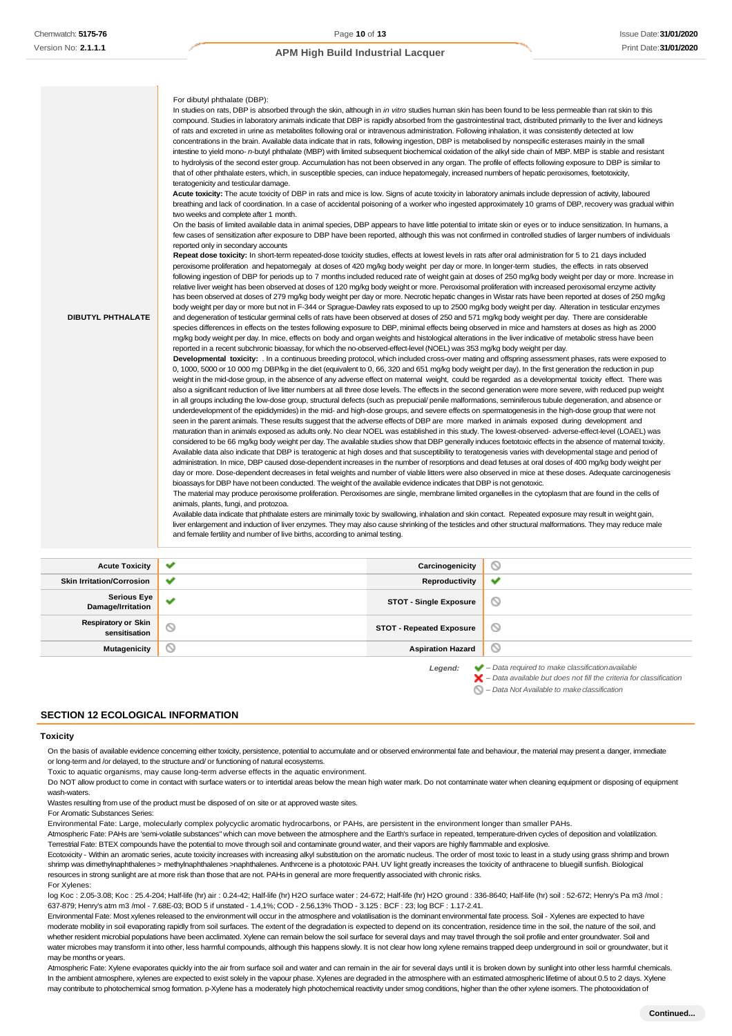| <b>DIBUTYL PHTHALATE</b> | For dibutyl phthalate (DBP):<br>In studies on rats, DBP is absorbed through the skin, although in in vitro studies human skin has been found to be less permeable than rat skin to this<br>compound. Studies in laboratory animals indicate that DBP is rapidly absorbed from the gastrointestinal tract, distributed primarily to the liver and kidneys<br>of rats and excreted in urine as metabolites following oral or intravenous administration. Following inhalation, it was consistently detected at low<br>concentrations in the brain. Available data indicate that in rats, following ingestion, DBP is metabolised by nonspecific esterases mainly in the small<br>intestine to yield mono- n-butyl phthalate (MBP) with limited subsequent biochemical oxidation of the alkyl side chain of MBP. MBP is stable and resistant<br>to hydrolysis of the second ester group. Accumulation has not been observed in any organ. The profile of effects following exposure to DBP is similar to<br>that of other phthalate esters, which, in susceptible species, can induce hepatomegaly, increased numbers of hepatic peroxisomes, foetotoxicity,<br>teratogenicity and testicular damage.<br>Acute toxicity: The acute toxicity of DBP in rats and mice is low. Signs of acute toxicity in laboratory animals include depression of activity, laboured<br>breathing and lack of coordination. In a case of accidental poisoning of a worker who ingested approximately 10 grams of DBP, recovery was gradual within<br>two weeks and complete after 1 month.<br>On the basis of limited available data in animal species, DBP appears to have little potential to irritate skin or eyes or to induce sensitization. In humans, a<br>few cases of sensitization after exposure to DBP have been reported, although this was not confirmed in controlled studies of larger numbers of individuals<br>reported only in secondary accounts<br>Repeat dose toxicity: In short-term repeated-dose toxicity studies, effects at lowest levels in rats after oral administration for 5 to 21 days included<br>peroxisome proliferation and hepatomegaly at doses of 420 mg/kg body weight per day or more. In longer-term studies, the effects in rats observed<br>following ingestion of DBP for periods up to 7 months included reduced rate of weight gain at doses of 250 mg/kg body weight per day or more. Increase in<br>relative liver weight has been observed at doses of 120 mg/kg body weight or more. Peroxisomal proliferation with increased peroxisomal enzyme activity<br>has been observed at doses of 279 mg/kg body weight per day or more. Necrotic hepatic changes in Wistar rats have been reported at doses of 250 mg/kg<br>body weight per day or more but not in F-344 or Sprague-Dawley rats exposed to up to 2500 mg/kg body weight per day. Alteration in testicular enzymes<br>and degeneration of testicular germinal cells of rats have been observed at doses of 250 and 571 mg/kg body weight per day. There are considerable<br>species differences in effects on the testes following exposure to DBP, minimal effects being observed in mice and hamsters at doses as high as 2000<br>mg/kg body weight per day. In mice, effects on body and organ weights and histological alterations in the liver indicative of metabolic stress have been<br>reported in a recent subchronic bioassay, for which the no-observed-effect-level (NOEL) was 353 mg/kg body weight per day.<br>Developmental toxicity: . In a continuous breeding protocol, which included cross-over mating and offspring assessment phases, rats were exposed to<br>0, 1000, 5000 or 10 000 mg DBP/kg in the diet (equivalent to 0, 66, 320 and 651 mg/kg body weight per day). In the first generation the reduction in pup<br>weight in the mid-dose group, in the absence of any adverse effect on matemal weight, could be regarded as a developmental toxicity effect. There was<br>also a significant reduction of live litter numbers at all three dose levels. The effects in the second generation were more severe, with reduced pup weight<br>in all groups including the low-dose group, structural defects (such as prepucial/penile malformations, seminiferous tubule degeneration, and absence or<br>underdevelopment of the epididymides) in the mid- and high-dose groups, and severe effects on spermatogenesis in the high-dose group that were not<br>seen in the parent animals. These results suggest that the adverse effects of DBP are more marked in animals exposed during development and<br>maturation than in animals exposed as adults only. No clear NOEL was established in this study. The lowest-observed- adverse-effect-level (LOAEL) was<br>considered to be 66 mg/kg body weight per day. The available studies show that DBP generally induces foetotoxic effects in the absence of matemal toxicity.<br>Available data also indicate that DBP is teratogenic at high doses and that susceptibility to teratogenesis varies with developmental stage and period of<br>administration. In mice, DBP caused dose-dependent increases in the number of resorptions and dead fetuses at oral doses of 400 mg/kg body weight per<br>day or more. Dose-dependent decreases in fetal weights and number of viable litters were also observed in mice at these doses. Adequate carcinogenesis<br>bioassays for DBP have not been conducted. The weight of the available evidence indicates that DBP is not genotoxic.<br>The material may produce peroxisome proliferation. Peroxisomes are single, membrane limited organelles in the cytoplasm that are found in the cells of<br>animals, plants, fungi, and protozoa.<br>Available data indicate that phthalate esters are minimally toxic by swallowing, inhalation and skin contact. Repeated exposure may result in weight gain,<br>liver enlargement and induction of liver enzymes. They may also cause shrinking of the testicles and other structural malformations. They may reduce male<br>and female fertility and number of live births, according to animal testing. |
|--------------------------|-------------------------------------------------------------------------------------------------------------------------------------------------------------------------------------------------------------------------------------------------------------------------------------------------------------------------------------------------------------------------------------------------------------------------------------------------------------------------------------------------------------------------------------------------------------------------------------------------------------------------------------------------------------------------------------------------------------------------------------------------------------------------------------------------------------------------------------------------------------------------------------------------------------------------------------------------------------------------------------------------------------------------------------------------------------------------------------------------------------------------------------------------------------------------------------------------------------------------------------------------------------------------------------------------------------------------------------------------------------------------------------------------------------------------------------------------------------------------------------------------------------------------------------------------------------------------------------------------------------------------------------------------------------------------------------------------------------------------------------------------------------------------------------------------------------------------------------------------------------------------------------------------------------------------------------------------------------------------------------------------------------------------------------------------------------------------------------------------------------------------------------------------------------------------------------------------------------------------------------------------------------------------------------------------------------------------------------------------------------------------------------------------------------------------------------------------------------------------------------------------------------------------------------------------------------------------------------------------------------------------------------------------------------------------------------------------------------------------------------------------------------------------------------------------------------------------------------------------------------------------------------------------------------------------------------------------------------------------------------------------------------------------------------------------------------------------------------------------------------------------------------------------------------------------------------------------------------------------------------------------------------------------------------------------------------------------------------------------------------------------------------------------------------------------------------------------------------------------------------------------------------------------------------------------------------------------------------------------------------------------------------------------------------------------------------------------------------------------------------------------------------------------------------------------------------------------------------------------------------------------------------------------------------------------------------------------------------------------------------------------------------------------------------------------------------------------------------------------------------------------------------------------------------------------------------------------------------------------------------------------------------------------------------------------------------------------------------------------------------------------------------------------------------------------------------------------------------------------------------------------------------------------------------------------------------------------------------------------------------------------------------------------------------------------------------------------------------------------------------------------------------------------------------------------------------------------------------------------------------------------------------------------------------------------------------------------------------------------------------------------------------------------------------------------------------------------------------------------------------------------------------------------------------------------------------------------------------------------------------------------------------------------------------------------------------------------------------------------------------------------------------------------------------------------------------------------------------------------------------------------------------------------------------------------------------------------------------------------------------------------------------------------------------------------------------------------------------------------------------------------------------------------------------------------------------------------------------------------------------------------------------------------------------------------------------------------------------------------------------------------------------------------------------------------------------------------------------------------------------------------------------------------------------------------------|
|--------------------------|-------------------------------------------------------------------------------------------------------------------------------------------------------------------------------------------------------------------------------------------------------------------------------------------------------------------------------------------------------------------------------------------------------------------------------------------------------------------------------------------------------------------------------------------------------------------------------------------------------------------------------------------------------------------------------------------------------------------------------------------------------------------------------------------------------------------------------------------------------------------------------------------------------------------------------------------------------------------------------------------------------------------------------------------------------------------------------------------------------------------------------------------------------------------------------------------------------------------------------------------------------------------------------------------------------------------------------------------------------------------------------------------------------------------------------------------------------------------------------------------------------------------------------------------------------------------------------------------------------------------------------------------------------------------------------------------------------------------------------------------------------------------------------------------------------------------------------------------------------------------------------------------------------------------------------------------------------------------------------------------------------------------------------------------------------------------------------------------------------------------------------------------------------------------------------------------------------------------------------------------------------------------------------------------------------------------------------------------------------------------------------------------------------------------------------------------------------------------------------------------------------------------------------------------------------------------------------------------------------------------------------------------------------------------------------------------------------------------------------------------------------------------------------------------------------------------------------------------------------------------------------------------------------------------------------------------------------------------------------------------------------------------------------------------------------------------------------------------------------------------------------------------------------------------------------------------------------------------------------------------------------------------------------------------------------------------------------------------------------------------------------------------------------------------------------------------------------------------------------------------------------------------------------------------------------------------------------------------------------------------------------------------------------------------------------------------------------------------------------------------------------------------------------------------------------------------------------------------------------------------------------------------------------------------------------------------------------------------------------------------------------------------------------------------------------------------------------------------------------------------------------------------------------------------------------------------------------------------------------------------------------------------------------------------------------------------------------------------------------------------------------------------------------------------------------------------------------------------------------------------------------------------------------------------------------------------------------------------------------------------------------------------------------------------------------------------------------------------------------------------------------------------------------------------------------------------------------------------------------------------------------------------------------------------------------------------------------------------------------------------------------------------------------------------------------------------------------------------------------------------------------------------------------------------------------------------------------------------------------------------------------------------------------------------------------------------------------------------------------------------------------------------------------------------------------------------------------------------------------------------------------------------------------------------------------------------------------------------------------------------------------------------------------------------------------------------------------------------------------------------------------------------------------------------------------------------------------------------------------------------------------------------------------------------------------------------------------------------------------------------------------------------------------------------------------------------------------------------------------------------------------------------------------------------------------|

| <b>Acute Toxicity</b>                       | $\tilde{\phantom{a}}$ | Carcinogenicity                 | $\circ$                                                                                                                                                            |
|---------------------------------------------|-----------------------|---------------------------------|--------------------------------------------------------------------------------------------------------------------------------------------------------------------|
| <b>Skin Irritation/Corrosion</b>            | v                     | Reproductivity                  | ✔                                                                                                                                                                  |
| <b>Serious Eye</b><br>Damage/Irritation     | $\checkmark$          | <b>STOT - Single Exposure</b>   | ◎                                                                                                                                                                  |
| <b>Respiratory or Skin</b><br>sensitisation | $\odot$               | <b>STOT - Repeated Exposure</b> | ◎                                                                                                                                                                  |
| <b>Mutagenicity</b>                         | $\circ$               | <b>Aspiration Hazard</b>        | $\circledcirc$                                                                                                                                                     |
|                                             |                       | Legend:                         | $\blacktriangleright$ - Data required to make classification available<br>$\blacktriangleright$ - Data available but does not fill the criteria for classification |

*– Data Not Available to makeclassification*

#### **SECTION 12 ECOLOGICAL INFORMATION**

#### **Toxicity**

On the basis of available evidence concerning either toxicity, persistence, potential to accumulate and or observed environmental fate and behaviour, the material may present a danger, immediate or long-term and /or delayed, to the structure and/ or functioning of natural ecosystems.

Toxic to aquatic organisms, may cause long-term adverse effects in the aquatic environment.

Do NOT allow product to come in contact with surface waters or to intertidal areas below the mean high water mark. Do not contaminate water when cleaning equipment or disposing of equipment wash-waters.

Wastes resulting from use of the product must be disposed of on site or at approved waste sites.

For Aromatic Substances Series:

Environmental Fate: Large, molecularly complex polycyclic aromatic hydrocarbons, or PAHs, are persistent in the environment longer than smaller PAHs.

Atmospheric Fate: PAHs are 'semi-volatile substances" which can move between the atmosphere and the Earth's surface in repeated, temperature-driven cycles of deposition and volatilization. Terrestrial Fate: BTEX compounds have the potential to move through soil and contaminate ground water, and their vapors are highly flammable and explosive.

Ecotoxicity - Within an aromatic series, acute toxicity increases with increasing alkyl substitution on the aromatic nucleus. The order of most toxic to least in a study using grass shrimp and brown shrimp was dimethylnaphthalenes > methylnaphthalenes >naphthalenes. Anthrcene is a phototoxic PAH. UV light greatly increases the toxicity of anthracene to bluegill sunfish. Biological resources in strong sunlight are at more risk than those that are not. PAHs in general are more frequently associated with chronic risks. For Xylenes:

log Koc : 2.05-3.08; Koc : 25.4-204; Half-life (hr) air : 0.24-42; Half-life (hr) H2O surface water : 24-672; Half-life (hr) H2O ground : 336-8640; Half-life (hr) soil : 52-672; Henry's Pa m3 /mol : 637-879; Henry's atm m3 /mol - 7.68E-03; BOD 5 if unstated - 1.4,1%; COD - 2.56,13% ThOD - 3.125 : BCF : 23; log BCF : 1.17-2.41.

Environmental Fate: Most xylenes released to the environment will occur in the atmosphere and volatilisation is the dominant environmental fate process. Soil - Xylenes are expected to have moderate mobility in soil evaporating rapidly from soil surfaces. The extent of the degradation is expected to depend on its concentration, residence time in the soil, the nature of the soil, and whether resident microbial populations have been acclimated. Xylene can remain below the soil surface for several days and may travel through the soil profile and enter groundwater. Soil and water microbes may transform it into other, less harmful compounds, although this happens slowly. It is not clear how long xylene remains trapped deep underground in soil or groundwater, but it may be months or years.

Atmospheric Fate: Xylene evaporates quickly into the air from surface soil and water and can remain in the air for several days until it is broken down by sunlight into other less harmful chemicals. In the ambient atmosphere, xylenes are expected to exist solely in the vapour phase. Xylenes are degraded in the atmosphere with an estimated atmospheric lifetime of about 0.5 to 2 days. Xylene may contribute to photochemical smog formation. p-Xylene has a moderately high photochemical reactivity under smog conditions, higher than the other xylene isomers. The photooxidation of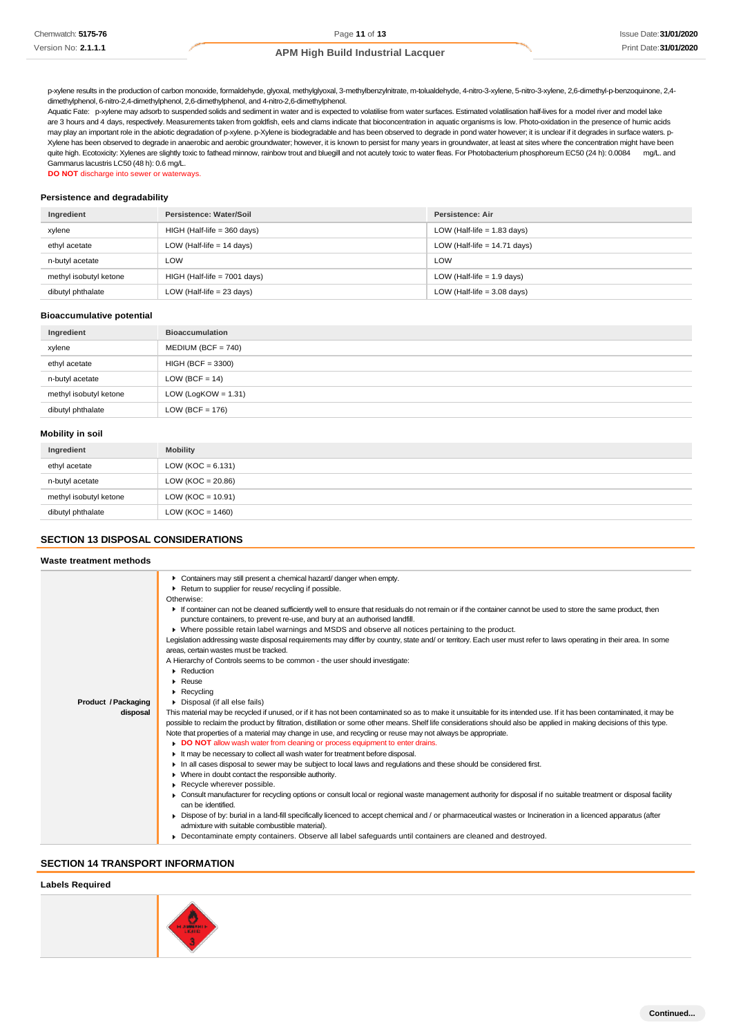p-xylene results in the production of carbon monoxide, formaldehyde, glyoxal, methylglyoxal, 3-methylbenzylnitrate, m-tolualdehyde, 4-nitro-3-xylene, 5-nitro-3-xylene, 2,6-dimethyl-p-benzoquinone, 2,4 dimethylphenol, 6-nitro-2,4-dimethylphenol, 2,6-dimethylphenol, and 4-nitro-2,6-dimethylphenol.

Aquatic Fate: p-xylene may adsorb to suspended solids and sediment in water and is expected to volatilise from water surfaces. Estimated volatilisation half-lives for a model river and model lake are 3 hours and 4 days, respectively. Measurements taken from goldfish, eels and clams indicate that bioconcentration in aquatic organisms is low. Photo-oxidation in the presence of humic acids may play an important role in the abiotic degradation of p-xylene. p-Xylene is biodegradable and has been observed to degrade in pond water however; it is unclear if it degrades in surface waters. p-Xylene has been observed to degrade in anaerobic and aerobic groundwater; however, it is known to persist for many years in groundwater, at least at sites where the concentration might have been quite high. Ecotoxicity: Xylenes are slightly toxic to fathead minnow, rainbow trout and bluegill and not acutely toxic to water fleas. For Photobacterium phosphoreum EC50 (24 h): 0.0084 mg/L. and Gammarus lacustris LC50 (48 h): 0.6 mg/L.

**DO NOT** discharge into sewer or waterways.

#### **Persistence and degradability**

| Ingredient             | Persistence: Water/Soil        | Persistence: Air               |
|------------------------|--------------------------------|--------------------------------|
| xylene                 | $HIGH$ (Half-life = 360 days)  | LOW (Half-life $= 1.83$ days)  |
| ethyl acetate          | LOW (Half-life $= 14$ days)    | LOW (Half-life $= 14.71$ days) |
| n-butyl acetate        | LOW                            | LOW                            |
| methyl isobutyl ketone | $HIGH$ (Half-life = 7001 days) | LOW (Half-life $= 1.9$ days)   |
| dibutyl phthalate      | LOW (Half-life $= 23$ days)    | LOW (Half-life $=$ 3.08 days)  |

#### **Bioaccumulative potential**

| Ingredient             | <b>Bioaccumulation</b> |
|------------------------|------------------------|
| xylene                 | $MEDIUM (BCF = 740)$   |
| ethyl acetate          | $HIGH (BCF = 3300)$    |
| n-butyl acetate        | LOW (BCF = $14$ )      |
| methyl isobutyl ketone | LOW (LogKOW = $1.31$ ) |
| dibutyl phthalate      | LOW (BCF = $176$ )     |

#### **Mobility in soil**

| Ingredient             | <b>Mobility</b>       |
|------------------------|-----------------------|
| ethyl acetate          | LOW (KOC = $6.131$ )  |
| n-butyl acetate        | LOW ( $KOC = 20.86$ ) |
| methyl isobutyl ketone | LOW ( $KOC = 10.91$ ) |
| dibutyl phthalate      | LOW ( $KOC = 1460$ )  |

#### **SECTION 13 DISPOSAL CONSIDERATIONS**

### **Waste treatment methods**

| <b>Product / Packaging</b><br>disposal | Containers may still present a chemical hazard/danger when empty.<br>Return to supplier for reuse/ recycling if possible.<br>Otherwise:<br>If container can not be cleaned sufficiently well to ensure that residuals do not remain or if the container cannot be used to store the same product, then<br>puncture containers, to prevent re-use, and bury at an authorised landfill.<br>► Where possible retain label warnings and MSDS and observe all notices pertaining to the product.<br>Legislation addressing waste disposal requirements may differ by country, state and/ or territory. Each user must refer to laws operating in their area. In some<br>areas, certain wastes must be tracked.<br>A Hierarchy of Controls seems to be common - the user should investigate:<br>Reduction<br>$\triangleright$ Reuse<br>$\blacktriangleright$ Recycling<br>Disposal (if all else fails)<br>This material may be recycled if unused, or if it has not been contaminated so as to make it unsuitable for its intended use. If it has been contaminated, it may be<br>possible to reclaim the product by filtration, distillation or some other means. Shelf life considerations should also be applied in making decisions of this type.<br>Note that properties of a material may change in use, and recycling or reuse may not always be appropriate.<br>DO NOT allow wash water from cleaning or process equipment to enter drains.<br>If may be necessary to collect all wash water for treatment before disposal.<br>In all cases disposal to sewer may be subject to local laws and regulations and these should be considered first.<br>• Where in doubt contact the responsible authority.<br>Recycle wherever possible.<br>• Consult manufacturer for recycling options or consult local or regional waste management authority for disposal if no suitable treatment or disposal facility<br>can be identified.<br>▶ Dispose of by: burial in a land-fill specifically licenced to accept chemical and / or pharmaceutical wastes or Incineration in a licenced apparatus (after<br>admixture with suitable combustible material). |
|----------------------------------------|-----------------------------------------------------------------------------------------------------------------------------------------------------------------------------------------------------------------------------------------------------------------------------------------------------------------------------------------------------------------------------------------------------------------------------------------------------------------------------------------------------------------------------------------------------------------------------------------------------------------------------------------------------------------------------------------------------------------------------------------------------------------------------------------------------------------------------------------------------------------------------------------------------------------------------------------------------------------------------------------------------------------------------------------------------------------------------------------------------------------------------------------------------------------------------------------------------------------------------------------------------------------------------------------------------------------------------------------------------------------------------------------------------------------------------------------------------------------------------------------------------------------------------------------------------------------------------------------------------------------------------------------------------------------------------------------------------------------------------------------------------------------------------------------------------------------------------------------------------------------------------------------------------------------------------------------------------------------------------------------------------------------------------------------------------------------------------------------------------------------------------------------------------|
|                                        | • Decontaminate empty containers. Observe all label safequards until containers are cleaned and destroyed.                                                                                                                                                                                                                                                                                                                                                                                                                                                                                                                                                                                                                                                                                                                                                                                                                                                                                                                                                                                                                                                                                                                                                                                                                                                                                                                                                                                                                                                                                                                                                                                                                                                                                                                                                                                                                                                                                                                                                                                                                                          |
|                                        |                                                                                                                                                                                                                                                                                                                                                                                                                                                                                                                                                                                                                                                                                                                                                                                                                                                                                                                                                                                                                                                                                                                                                                                                                                                                                                                                                                                                                                                                                                                                                                                                                                                                                                                                                                                                                                                                                                                                                                                                                                                                                                                                                     |

### **SECTION 14 TRANSPORT INFORMATION**

### **Labels Required**

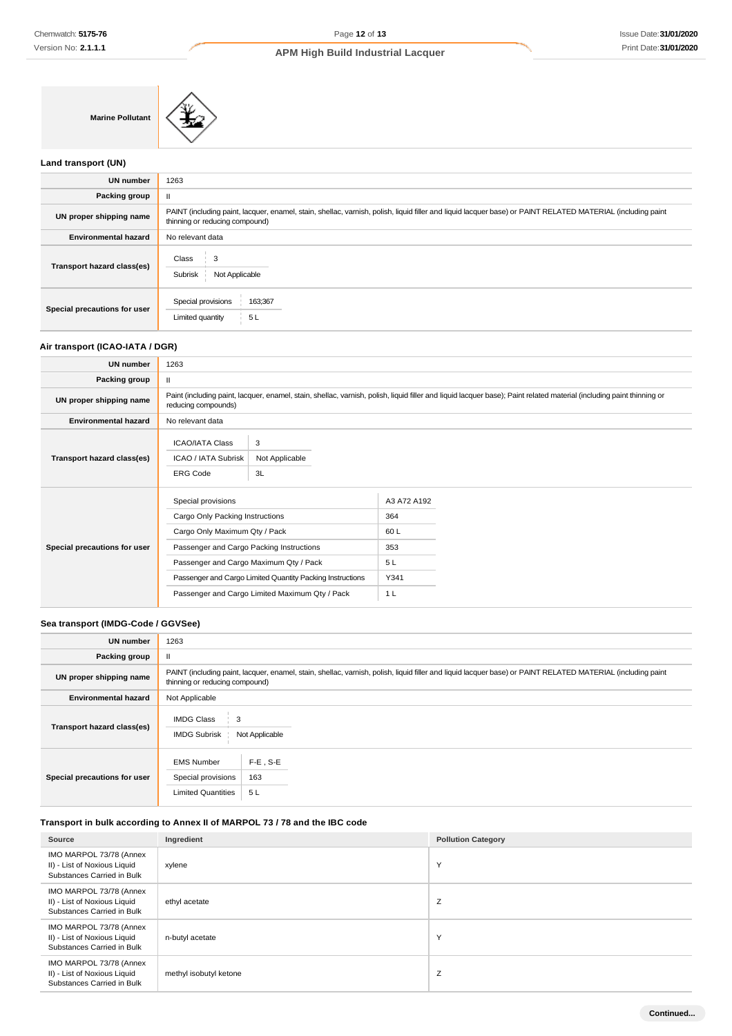**Marine Pollutant**

### **Land transport (UN)**

| <b>UN number</b>             | 1263                                                                                                                                                                                          |  |  |
|------------------------------|-----------------------------------------------------------------------------------------------------------------------------------------------------------------------------------------------|--|--|
| Packing group                |                                                                                                                                                                                               |  |  |
| UN proper shipping name      | PAINT (including paint, lacquer, enamel, stain, shellac, varnish, polish, liquid filler and liquid lacquer base) or PAINT RELATED MATERIAL (including paint<br>thinning or reducing compound) |  |  |
| <b>Environmental hazard</b>  | No relevant data                                                                                                                                                                              |  |  |
| Transport hazard class(es)   | 3<br>Class<br>Subrisk<br>Not Applicable                                                                                                                                                       |  |  |
| Special precautions for user | Special provisions<br>163;367<br>5L<br>Limited quantity                                                                                                                                       |  |  |

# **Air transport (ICAO-IATA / DGR)**

| <b>UN number</b>             | 1263                                                                                                                                                                                                                                                                                        |                           |                                                        |  |  |
|------------------------------|---------------------------------------------------------------------------------------------------------------------------------------------------------------------------------------------------------------------------------------------------------------------------------------------|---------------------------|--------------------------------------------------------|--|--|
| Packing group                | $\mathbf{H}$                                                                                                                                                                                                                                                                                |                           |                                                        |  |  |
| UN proper shipping name      | Paint (including paint, lacquer, enamel, stain, shellac, varnish, polish, liquid filler and liquid lacquer base); Paint related material (including paint thinning or<br>reducing compounds)                                                                                                |                           |                                                        |  |  |
| <b>Environmental hazard</b>  | No relevant data                                                                                                                                                                                                                                                                            |                           |                                                        |  |  |
| Transport hazard class(es)   | <b>ICAO/IATA Class</b><br><b>ICAO / IATA Subrisk</b><br><b>ERG Code</b>                                                                                                                                                                                                                     | 3<br>Not Applicable<br>3L |                                                        |  |  |
| Special precautions for user | Special provisions<br>Cargo Only Packing Instructions<br>Cargo Only Maximum Qty / Pack<br>Passenger and Cargo Packing Instructions<br>Passenger and Cargo Maximum Qty / Pack<br>Passenger and Cargo Limited Quantity Packing Instructions<br>Passenger and Cargo Limited Maximum Qty / Pack |                           | A3 A72 A192<br>364<br>60 L<br>353<br>5L<br>Y341<br>1 L |  |  |

# **Sea transport (IMDG-Code / GGVSee)**

| <b>UN number</b>             | 1263                                                                                                                                                                                          |  |  |  |  |
|------------------------------|-----------------------------------------------------------------------------------------------------------------------------------------------------------------------------------------------|--|--|--|--|
| Packing group                | Ш                                                                                                                                                                                             |  |  |  |  |
| UN proper shipping name      | PAINT (including paint, lacquer, enamel, stain, shellac, varnish, polish, liquid filler and liquid lacquer base) or PAINT RELATED MATERIAL (including paint<br>thinning or reducing compound) |  |  |  |  |
| <b>Environmental hazard</b>  | Not Applicable                                                                                                                                                                                |  |  |  |  |
| Transport hazard class(es)   | <b>IMDG Class</b><br>3<br><b>IMDG Subrisk</b><br>Not Applicable                                                                                                                               |  |  |  |  |
| Special precautions for user | $F-E$ , S-E<br><b>EMS Number</b><br>163<br>Special provisions<br><b>Limited Quantities</b><br>5L                                                                                              |  |  |  |  |

### **Transport in bulk according to Annex II of MARPOL 73 / 78 and the IBC code**

| Source                                                                                | Ingredient             | <b>Pollution Category</b> |
|---------------------------------------------------------------------------------------|------------------------|---------------------------|
| IMO MARPOL 73/78 (Annex<br>II) - List of Noxious Liquid<br>Substances Carried in Bulk | xylene                 | Υ                         |
| IMO MARPOL 73/78 (Annex<br>II) - List of Noxious Liquid<br>Substances Carried in Bulk | ethyl acetate          | Ζ                         |
| IMO MARPOL 73/78 (Annex<br>II) - List of Noxious Liquid<br>Substances Carried in Bulk | n-butyl acetate        | Υ                         |
| IMO MARPOL 73/78 (Annex<br>II) - List of Noxious Liquid<br>Substances Carried in Bulk | methyl isobutyl ketone | Z                         |